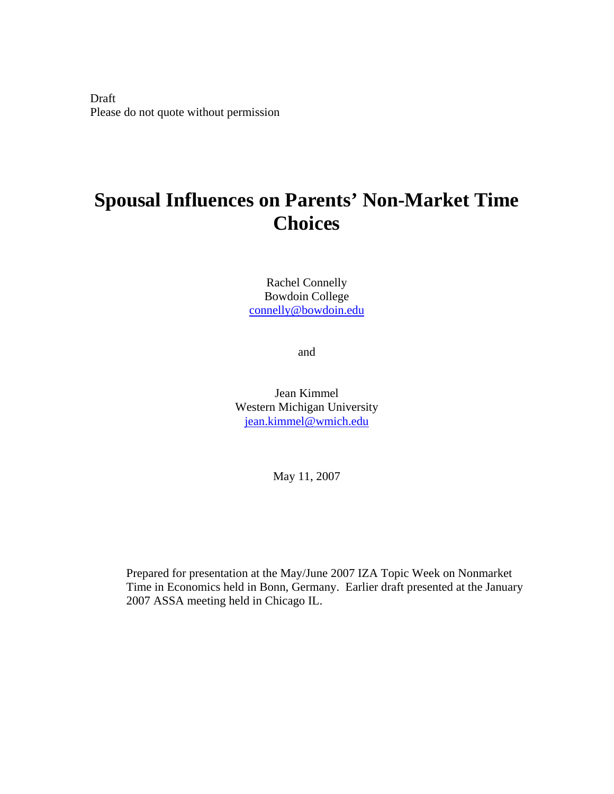Draft Please do not quote without permission

# **Spousal Influences on Parents' Non-Market Time Choices**

Rachel Connelly Bowdoin College connelly@bowdoin.edu

and

Jean Kimmel Western Michigan University jean.kimmel@wmich.edu

May 11, 2007

Prepared for presentation at the May/June 2007 IZA Topic Week on Nonmarket Time in Economics held in Bonn, Germany. Earlier draft presented at the January 2007 ASSA meeting held in Chicago IL.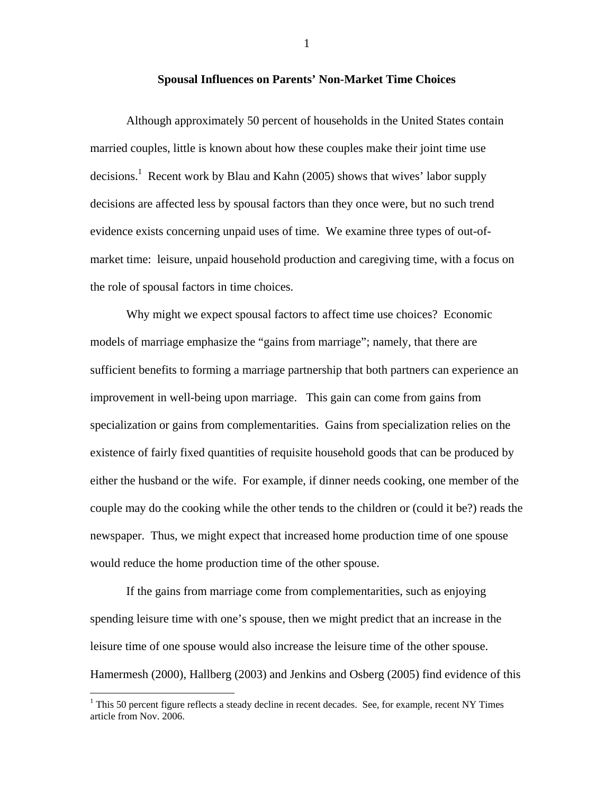#### **Spousal Influences on Parents' Non-Market Time Choices**

Although approximately 50 percent of households in the United States contain married couples, little is known about how these couples make their joint time use decisions.<sup>1</sup> Recent work by Blau and Kahn (2005) shows that wives' labor supply decisions are affected less by spousal factors than they once were, but no such trend evidence exists concerning unpaid uses of time. We examine three types of out-ofmarket time: leisure, unpaid household production and caregiving time, with a focus on the role of spousal factors in time choices.

Why might we expect spousal factors to affect time use choices? Economic models of marriage emphasize the "gains from marriage"; namely, that there are sufficient benefits to forming a marriage partnership that both partners can experience an improvement in well-being upon marriage. This gain can come from gains from specialization or gains from complementarities. Gains from specialization relies on the existence of fairly fixed quantities of requisite household goods that can be produced by either the husband or the wife. For example, if dinner needs cooking, one member of the couple may do the cooking while the other tends to the children or (could it be?) reads the newspaper. Thus, we might expect that increased home production time of one spouse would reduce the home production time of the other spouse.

If the gains from marriage come from complementarities, such as enjoying spending leisure time with one's spouse, then we might predict that an increase in the leisure time of one spouse would also increase the leisure time of the other spouse. Hamermesh (2000), Hallberg (2003) and Jenkins and Osberg (2005) find evidence of this

 $\overline{a}$ 

 $1$  This 50 percent figure reflects a steady decline in recent decades. See, for example, recent NY Times article from Nov. 2006.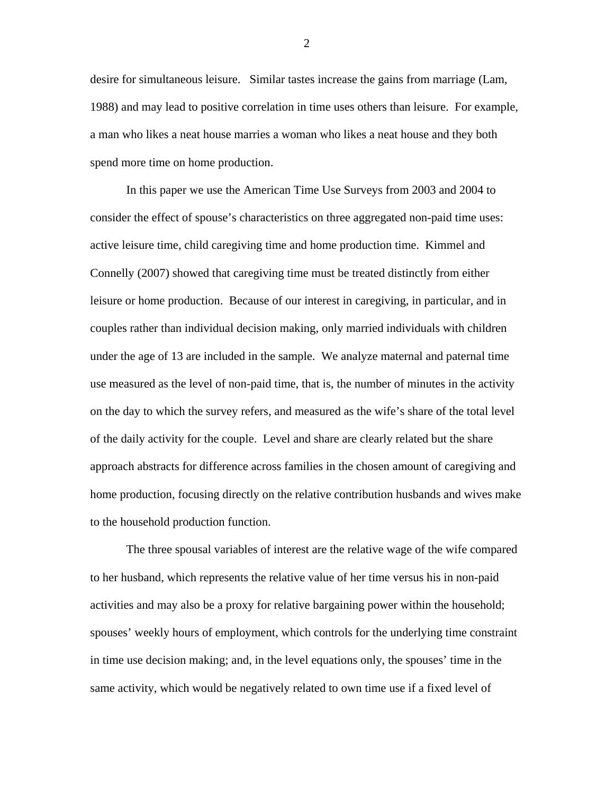desire for simultaneous leisure. Similar tastes increase the gains from marriage (Lam, 1988) and may lead to positive correlation in time uses others than leisure. For example, a man who likes a neat house marries a woman who likes a neat house and they both spend more time on home production.

In this paper we use the American Time Use Surveys from 2003 and 2004 to consider the effect of spouse's characteristics on three aggregated non-paid time uses: active leisure time, child caregiving time and home production time. Kimmel and Connelly (2007) showed that caregiving time must be treated distinctly from either leisure or home production. Because of our interest in caregiving, in particular, and in couples rather than individual decision making, only married individuals with children under the age of 13 are included in the sample. We analyze maternal and paternal time use measured as the level of non-paid time, that is, the number of minutes in the activity on the day to which the survey refers, and measured as the wife's share of the total level of the daily activity for the couple. Level and share are clearly related but the share approach abstracts for difference across families in the chosen amount of caregiving and home production, focusing directly on the relative contribution husbands and wives make to the household production function.

The three spousal variables of interest are the relative wage of the wife compared to her husband, which represents the relative value of her time versus his in non-paid activities and may also be a proxy for relative bargaining power within the household; spouses' weekly hours of employment, which controls for the underlying time constraint in time use decision making; and, in the level equations only, the spouses' time in the same activity, which would be negatively related to own time use if a fixed level of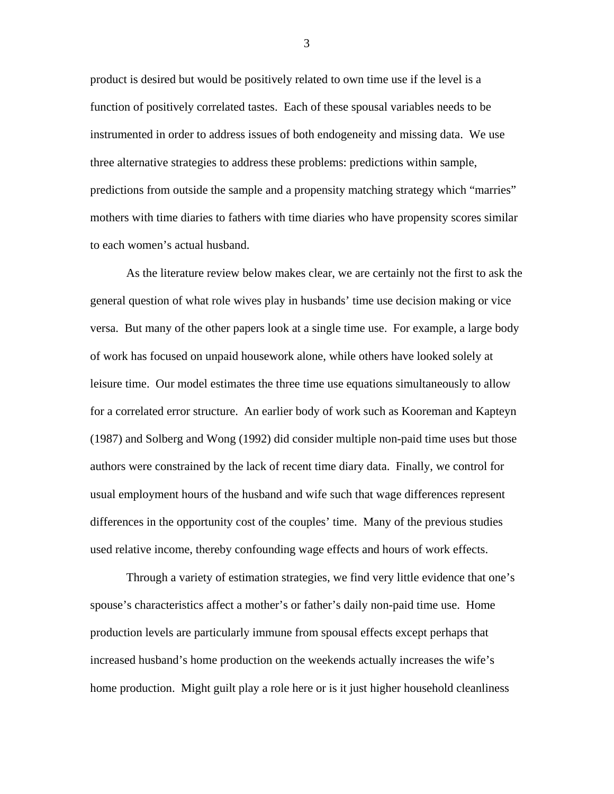product is desired but would be positively related to own time use if the level is a function of positively correlated tastes. Each of these spousal variables needs to be instrumented in order to address issues of both endogeneity and missing data. We use three alternative strategies to address these problems: predictions within sample, predictions from outside the sample and a propensity matching strategy which "marries" mothers with time diaries to fathers with time diaries who have propensity scores similar to each women's actual husband.

As the literature review below makes clear, we are certainly not the first to ask the general question of what role wives play in husbands' time use decision making or vice versa. But many of the other papers look at a single time use. For example, a large body of work has focused on unpaid housework alone, while others have looked solely at leisure time. Our model estimates the three time use equations simultaneously to allow for a correlated error structure. An earlier body of work such as Kooreman and Kapteyn (1987) and Solberg and Wong (1992) did consider multiple non-paid time uses but those authors were constrained by the lack of recent time diary data. Finally, we control for usual employment hours of the husband and wife such that wage differences represent differences in the opportunity cost of the couples' time. Many of the previous studies used relative income, thereby confounding wage effects and hours of work effects.

Through a variety of estimation strategies, we find very little evidence that one's spouse's characteristics affect a mother's or father's daily non-paid time use. Home production levels are particularly immune from spousal effects except perhaps that increased husband's home production on the weekends actually increases the wife's home production. Might guilt play a role here or is it just higher household cleanliness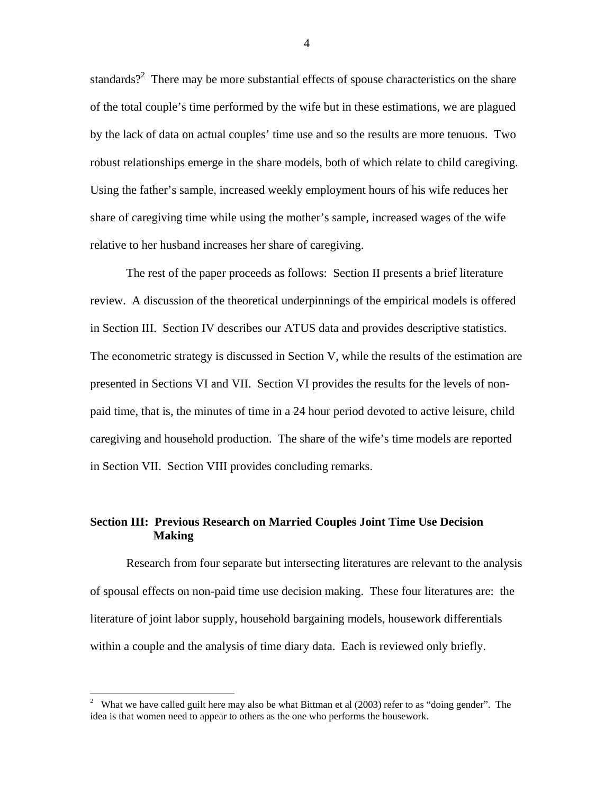standards?<sup>2</sup> There may be more substantial effects of spouse characteristics on the share of the total couple's time performed by the wife but in these estimations, we are plagued by the lack of data on actual couples' time use and so the results are more tenuous. Two robust relationships emerge in the share models, both of which relate to child caregiving. Using the father's sample, increased weekly employment hours of his wife reduces her share of caregiving time while using the mother's sample, increased wages of the wife relative to her husband increases her share of caregiving.

The rest of the paper proceeds as follows: Section II presents a brief literature review. A discussion of the theoretical underpinnings of the empirical models is offered in Section III. Section IV describes our ATUS data and provides descriptive statistics. The econometric strategy is discussed in Section V, while the results of the estimation are presented in Sections VI and VII. Section VI provides the results for the levels of nonpaid time, that is, the minutes of time in a 24 hour period devoted to active leisure, child caregiving and household production. The share of the wife's time models are reported in Section VII. Section VIII provides concluding remarks.

#### **Section III: Previous Research on Married Couples Joint Time Use Decision Making**

Research from four separate but intersecting literatures are relevant to the analysis of spousal effects on non-paid time use decision making. These four literatures are: the literature of joint labor supply, household bargaining models, housework differentials within a couple and the analysis of time diary data. Each is reviewed only briefly.

<sup>&</sup>lt;sup>2</sup> What we have called guilt here may also be what Bittman et al (2003) refer to as "doing gender". The idea is that women need to appear to others as the one who performs the housework.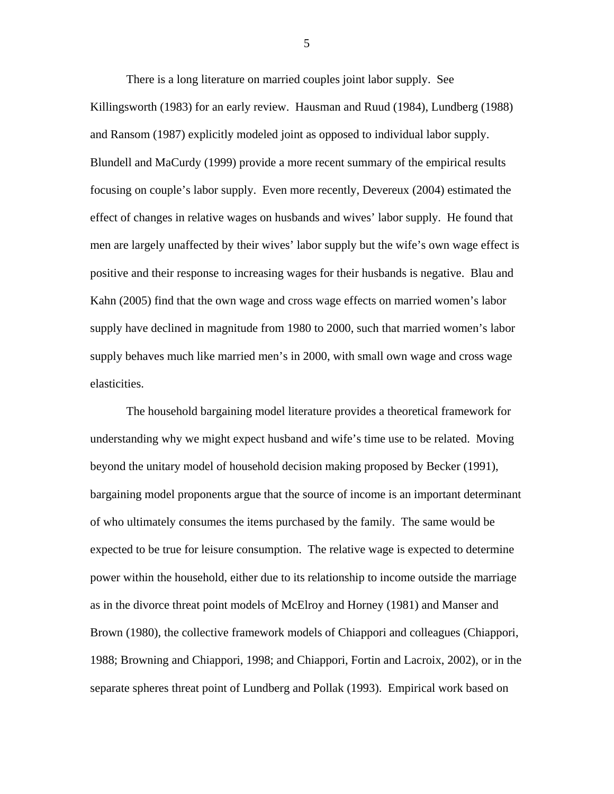There is a long literature on married couples joint labor supply. See Killingsworth (1983) for an early review. Hausman and Ruud (1984), Lundberg (1988) and Ransom (1987) explicitly modeled joint as opposed to individual labor supply. Blundell and MaCurdy (1999) provide a more recent summary of the empirical results focusing on couple's labor supply. Even more recently, Devereux (2004) estimated the effect of changes in relative wages on husbands and wives' labor supply. He found that men are largely unaffected by their wives' labor supply but the wife's own wage effect is positive and their response to increasing wages for their husbands is negative. Blau and Kahn (2005) find that the own wage and cross wage effects on married women's labor supply have declined in magnitude from 1980 to 2000, such that married women's labor supply behaves much like married men's in 2000, with small own wage and cross wage elasticities.

The household bargaining model literature provides a theoretical framework for understanding why we might expect husband and wife's time use to be related. Moving beyond the unitary model of household decision making proposed by Becker (1991), bargaining model proponents argue that the source of income is an important determinant of who ultimately consumes the items purchased by the family. The same would be expected to be true for leisure consumption. The relative wage is expected to determine power within the household, either due to its relationship to income outside the marriage as in the divorce threat point models of McElroy and Horney (1981) and Manser and Brown (1980), the collective framework models of Chiappori and colleagues (Chiappori, 1988; Browning and Chiappori, 1998; and Chiappori, Fortin and Lacroix, 2002), or in the separate spheres threat point of Lundberg and Pollak (1993). Empirical work based on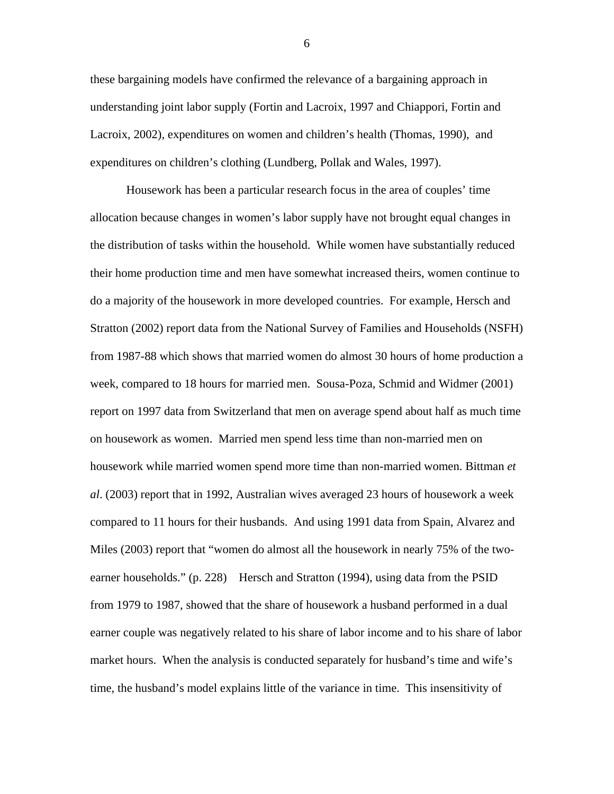these bargaining models have confirmed the relevance of a bargaining approach in understanding joint labor supply (Fortin and Lacroix, 1997 and Chiappori, Fortin and Lacroix, 2002), expenditures on women and children's health (Thomas, 1990), and expenditures on children's clothing (Lundberg, Pollak and Wales, 1997).

Housework has been a particular research focus in the area of couples' time allocation because changes in women's labor supply have not brought equal changes in the distribution of tasks within the household. While women have substantially reduced their home production time and men have somewhat increased theirs, women continue to do a majority of the housework in more developed countries. For example, Hersch and Stratton (2002) report data from the National Survey of Families and Households (NSFH) from 1987-88 which shows that married women do almost 30 hours of home production a week, compared to 18 hours for married men. Sousa-Poza, Schmid and Widmer (2001) report on 1997 data from Switzerland that men on average spend about half as much time on housework as women. Married men spend less time than non-married men on housework while married women spend more time than non-married women. Bittman *et al*. (2003) report that in 1992, Australian wives averaged 23 hours of housework a week compared to 11 hours for their husbands. And using 1991 data from Spain, Alvarez and Miles (2003) report that "women do almost all the housework in nearly 75% of the twoearner households." (p. 228) Hersch and Stratton (1994), using data from the PSID from 1979 to 1987, showed that the share of housework a husband performed in a dual earner couple was negatively related to his share of labor income and to his share of labor market hours. When the analysis is conducted separately for husband's time and wife's time, the husband's model explains little of the variance in time. This insensitivity of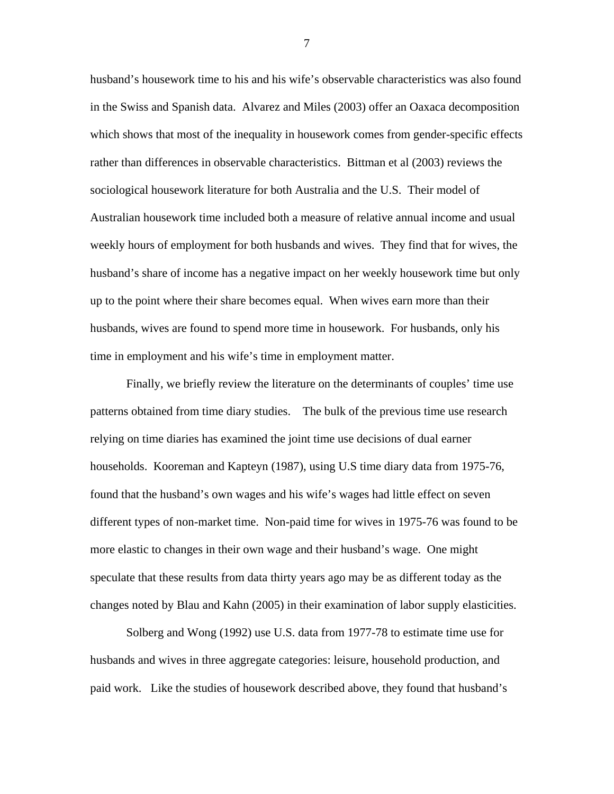husband's housework time to his and his wife's observable characteristics was also found in the Swiss and Spanish data. Alvarez and Miles (2003) offer an Oaxaca decomposition which shows that most of the inequality in housework comes from gender-specific effects rather than differences in observable characteristics. Bittman et al (2003) reviews the sociological housework literature for both Australia and the U.S. Their model of Australian housework time included both a measure of relative annual income and usual weekly hours of employment for both husbands and wives. They find that for wives, the husband's share of income has a negative impact on her weekly housework time but only up to the point where their share becomes equal. When wives earn more than their husbands, wives are found to spend more time in housework. For husbands, only his time in employment and his wife's time in employment matter.

 Finally, we briefly review the literature on the determinants of couples' time use patterns obtained from time diary studies. The bulk of the previous time use research relying on time diaries has examined the joint time use decisions of dual earner households. Kooreman and Kapteyn (1987), using U.S time diary data from 1975-76, found that the husband's own wages and his wife's wages had little effect on seven different types of non-market time. Non-paid time for wives in 1975-76 was found to be more elastic to changes in their own wage and their husband's wage. One might speculate that these results from data thirty years ago may be as different today as the changes noted by Blau and Kahn (2005) in their examination of labor supply elasticities.

 Solberg and Wong (1992) use U.S. data from 1977-78 to estimate time use for husbands and wives in three aggregate categories: leisure, household production, and paid work. Like the studies of housework described above, they found that husband's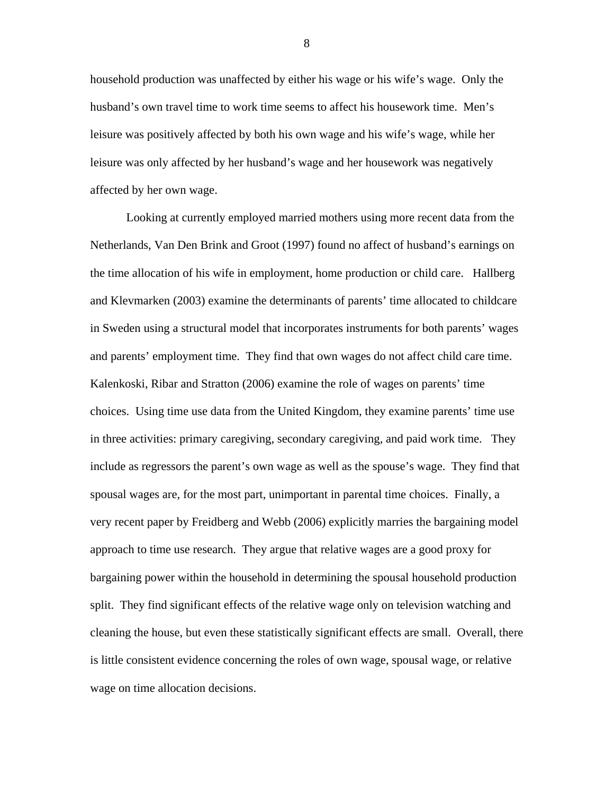household production was unaffected by either his wage or his wife's wage. Only the husband's own travel time to work time seems to affect his housework time. Men's leisure was positively affected by both his own wage and his wife's wage, while her leisure was only affected by her husband's wage and her housework was negatively affected by her own wage.

Looking at currently employed married mothers using more recent data from the Netherlands, Van Den Brink and Groot (1997) found no affect of husband's earnings on the time allocation of his wife in employment, home production or child care. Hallberg and Klevmarken (2003) examine the determinants of parents' time allocated to childcare in Sweden using a structural model that incorporates instruments for both parents' wages and parents' employment time. They find that own wages do not affect child care time. Kalenkoski, Ribar and Stratton (2006) examine the role of wages on parents' time choices. Using time use data from the United Kingdom, they examine parents' time use in three activities: primary caregiving, secondary caregiving, and paid work time. They include as regressors the parent's own wage as well as the spouse's wage. They find that spousal wages are, for the most part, unimportant in parental time choices. Finally, a very recent paper by Freidberg and Webb (2006) explicitly marries the bargaining model approach to time use research. They argue that relative wages are a good proxy for bargaining power within the household in determining the spousal household production split. They find significant effects of the relative wage only on television watching and cleaning the house, but even these statistically significant effects are small. Overall, there is little consistent evidence concerning the roles of own wage, spousal wage, or relative wage on time allocation decisions.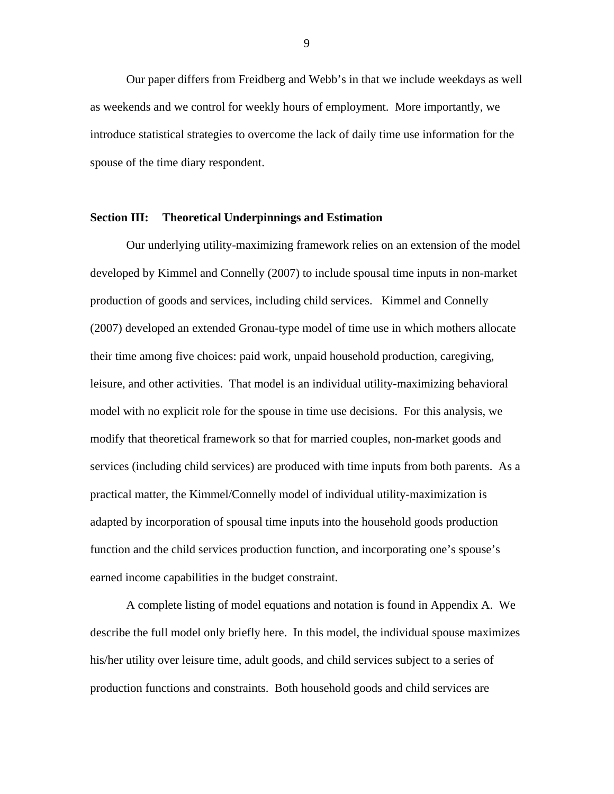Our paper differs from Freidberg and Webb's in that we include weekdays as well as weekends and we control for weekly hours of employment. More importantly, we introduce statistical strategies to overcome the lack of daily time use information for the spouse of the time diary respondent.

#### **Section III: Theoretical Underpinnings and Estimation**

Our underlying utility-maximizing framework relies on an extension of the model developed by Kimmel and Connelly (2007) to include spousal time inputs in non-market production of goods and services, including child services. Kimmel and Connelly (2007) developed an extended Gronau-type model of time use in which mothers allocate their time among five choices: paid work, unpaid household production, caregiving, leisure, and other activities. That model is an individual utility-maximizing behavioral model with no explicit role for the spouse in time use decisions. For this analysis, we modify that theoretical framework so that for married couples, non-market goods and services (including child services) are produced with time inputs from both parents. As a practical matter, the Kimmel/Connelly model of individual utility-maximization is adapted by incorporation of spousal time inputs into the household goods production function and the child services production function, and incorporating one's spouse's earned income capabilities in the budget constraint.

 A complete listing of model equations and notation is found in Appendix A. We describe the full model only briefly here. In this model, the individual spouse maximizes his/her utility over leisure time, adult goods, and child services subject to a series of production functions and constraints. Both household goods and child services are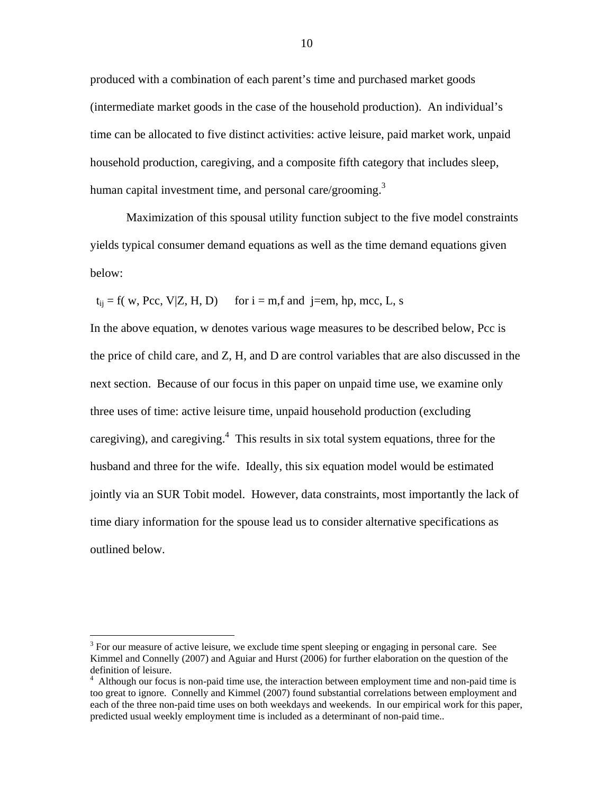produced with a combination of each parent's time and purchased market goods (intermediate market goods in the case of the household production). An individual's time can be allocated to five distinct activities: active leisure, paid market work, unpaid household production, caregiving, and a composite fifth category that includes sleep, human capital investment time, and personal care/grooming.<sup>3</sup>

Maximization of this spousal utility function subject to the five model constraints yields typical consumer demand equations as well as the time demand equations given below:

 $t_{ij} = f(w, Pcc, V|Z, H, D)$  for  $i = m, f$  and j=em, hp, mcc, L, s

In the above equation, w denotes various wage measures to be described below, Pcc is the price of child care, and Z, H, and D are control variables that are also discussed in the next section. Because of our focus in this paper on unpaid time use, we examine only three uses of time: active leisure time, unpaid household production (excluding caregiving), and caregiving.<sup>4</sup> This results in six total system equations, three for the husband and three for the wife. Ideally, this six equation model would be estimated jointly via an SUR Tobit model. However, data constraints, most importantly the lack of time diary information for the spouse lead us to consider alternative specifications as outlined below.

 $\overline{a}$ 

 $3$  For our measure of active leisure, we exclude time spent sleeping or engaging in personal care. See Kimmel and Connelly (2007) and Aguiar and Hurst (2006) for further elaboration on the question of the definition of leisure.

<sup>&</sup>lt;sup>4</sup> Although our focus is non-paid time use, the interaction between employment time and non-paid time is too great to ignore. Connelly and Kimmel (2007) found substantial correlations between employment and each of the three non-paid time uses on both weekdays and weekends. In our empirical work for this paper, predicted usual weekly employment time is included as a determinant of non-paid time..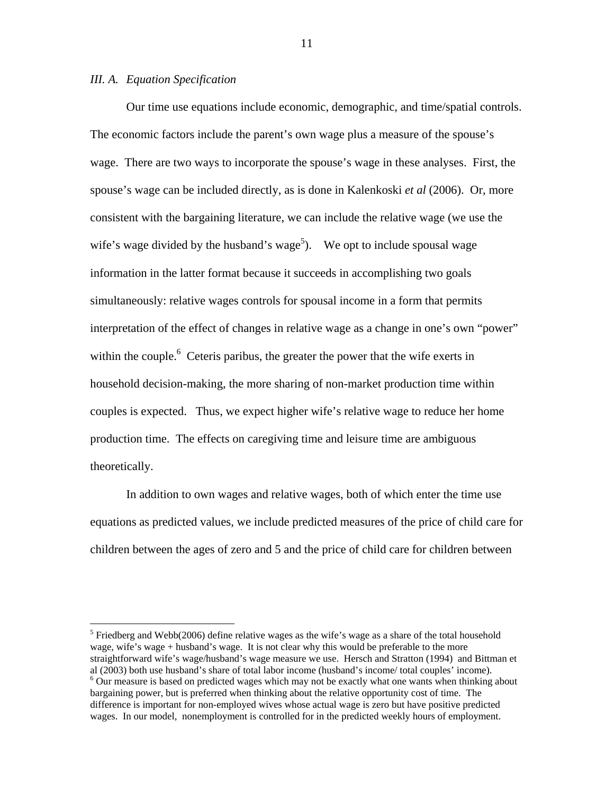#### *III. A. Equation Specification*

 $\overline{a}$ 

Our time use equations include economic, demographic, and time/spatial controls. The economic factors include the parent's own wage plus a measure of the spouse's wage. There are two ways to incorporate the spouse's wage in these analyses. First, the spouse's wage can be included directly, as is done in Kalenkoski *et al* (2006). Or, more consistent with the bargaining literature, we can include the relative wage (we use the wife's wage divided by the husband's wage<sup>5</sup>). We opt to include spousal wage information in the latter format because it succeeds in accomplishing two goals simultaneously: relative wages controls for spousal income in a form that permits interpretation of the effect of changes in relative wage as a change in one's own "power" within the couple.<sup>6</sup> Ceteris paribus, the greater the power that the wife exerts in household decision-making, the more sharing of non-market production time within couples is expected. Thus, we expect higher wife's relative wage to reduce her home production time. The effects on caregiving time and leisure time are ambiguous theoretically.

 In addition to own wages and relative wages, both of which enter the time use equations as predicted values, we include predicted measures of the price of child care for children between the ages of zero and 5 and the price of child care for children between

<sup>&</sup>lt;sup>5</sup> Friedberg and Webb(2006) define relative wages as the wife's wage as a share of the total household wage, wife's wage + husband's wage. It is not clear why this would be preferable to the more straightforward wife's wage/husband's wage measure we use. Hersch and Stratton (1994) and Bittman et al (2003) both use husband's share of total labor income (husband's income/ total couples' income). 6  $6$  Our measure is based on predicted wages which may not be exactly what one wants when thinking about bargaining power, but is preferred when thinking about the relative opportunity cost of time. The difference is important for non-employed wives whose actual wage is zero but have positive predicted wages. In our model, nonemployment is controlled for in the predicted weekly hours of employment.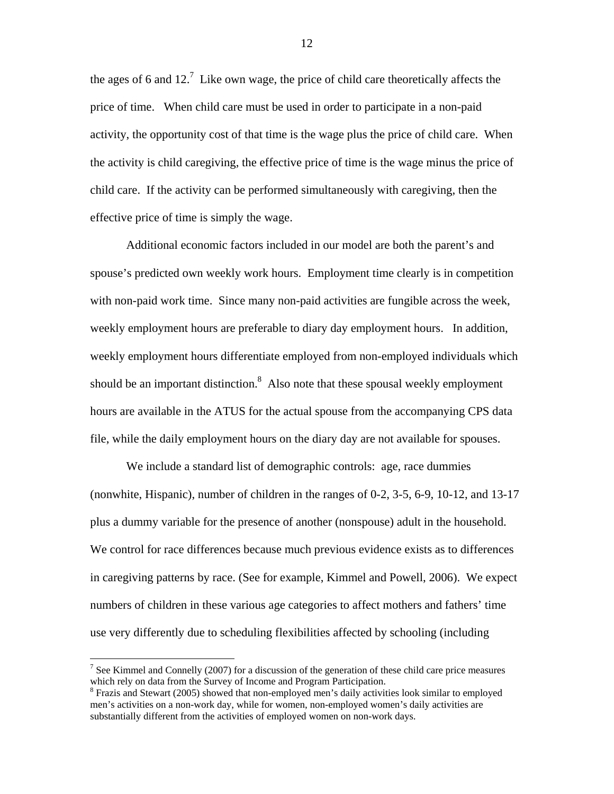the ages of 6 and  $12<sup>7</sup>$  Like own wage, the price of child care theoretically affects the price of time. When child care must be used in order to participate in a non-paid activity, the opportunity cost of that time is the wage plus the price of child care. When the activity is child caregiving, the effective price of time is the wage minus the price of child care. If the activity can be performed simultaneously with caregiving, then the effective price of time is simply the wage.

 Additional economic factors included in our model are both the parent's and spouse's predicted own weekly work hours. Employment time clearly is in competition with non-paid work time. Since many non-paid activities are fungible across the week, weekly employment hours are preferable to diary day employment hours. In addition, weekly employment hours differentiate employed from non-employed individuals which should be an important distinction.<sup>8</sup> Also note that these spousal weekly employment hours are available in the ATUS for the actual spouse from the accompanying CPS data file, while the daily employment hours on the diary day are not available for spouses.

 We include a standard list of demographic controls: age, race dummies (nonwhite, Hispanic), number of children in the ranges of 0-2, 3-5, 6-9, 10-12, and 13-17 plus a dummy variable for the presence of another (nonspouse) adult in the household. We control for race differences because much previous evidence exists as to differences in caregiving patterns by race. (See for example, Kimmel and Powell, 2006). We expect numbers of children in these various age categories to affect mothers and fathers' time use very differently due to scheduling flexibilities affected by schooling (including

<sup>&</sup>lt;sup>7</sup> See Kimmel and Connelly (2007) for a discussion of the generation of these child care price measures which rely on data from the Survey of Income and Program Participation.

<sup>&</sup>lt;sup>8</sup> Frazis and Stewart (2005) showed that non-employed men's daily activities look similar to employed men's activities on a non-work day, while for women, non-employed women's daily activities are substantially different from the activities of employed women on non-work days.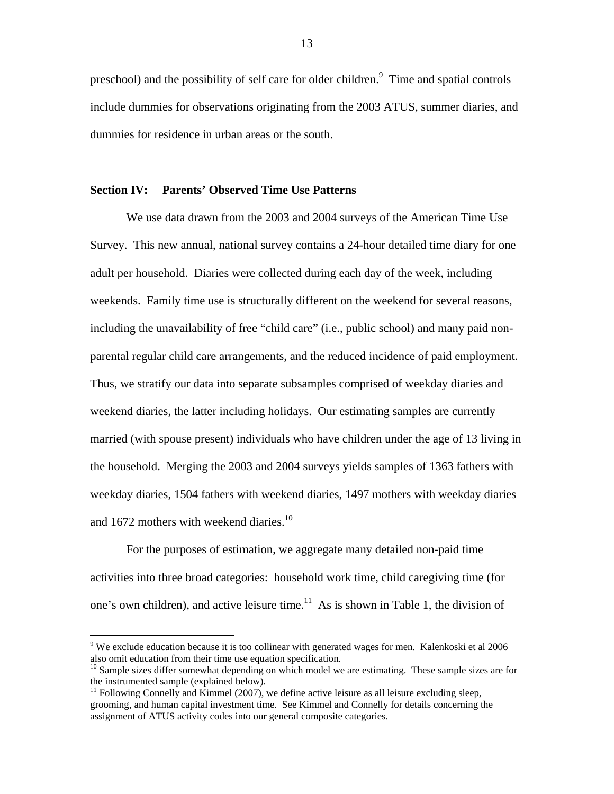preschool) and the possibility of self care for older children.<sup>9</sup> Time and spatial controls include dummies for observations originating from the 2003 ATUS, summer diaries, and dummies for residence in urban areas or the south.

#### **Section IV: Parents' Observed Time Use Patterns**

We use data drawn from the 2003 and 2004 surveys of the American Time Use Survey. This new annual, national survey contains a 24-hour detailed time diary for one adult per household. Diaries were collected during each day of the week, including weekends. Family time use is structurally different on the weekend for several reasons, including the unavailability of free "child care" (i.e., public school) and many paid nonparental regular child care arrangements, and the reduced incidence of paid employment. Thus, we stratify our data into separate subsamples comprised of weekday diaries and weekend diaries, the latter including holidays. Our estimating samples are currently married (with spouse present) individuals who have children under the age of 13 living in the household. Merging the 2003 and 2004 surveys yields samples of 1363 fathers with weekday diaries, 1504 fathers with weekend diaries, 1497 mothers with weekday diaries and 1672 mothers with weekend diaries.<sup>10</sup>

For the purposes of estimation, we aggregate many detailed non-paid time activities into three broad categories: household work time, child caregiving time (for one's own children), and active leisure time.<sup>11</sup> As is shown in Table 1, the division of

 $\overline{a}$ 

<sup>9</sup> We exclude education because it is too collinear with generated wages for men.Kalenkoski et al 2006 also omit education from their time use equation specification.

<sup>&</sup>lt;sup>10</sup> Sample sizes differ somewhat depending on which model we are estimating. These sample sizes are for the instrumented sample (explained below).

 $11$  Following Connelly and Kimmel (2007), we define active leisure as all leisure excluding sleep, grooming, and human capital investment time. See Kimmel and Connelly for details concerning the assignment of ATUS activity codes into our general composite categories.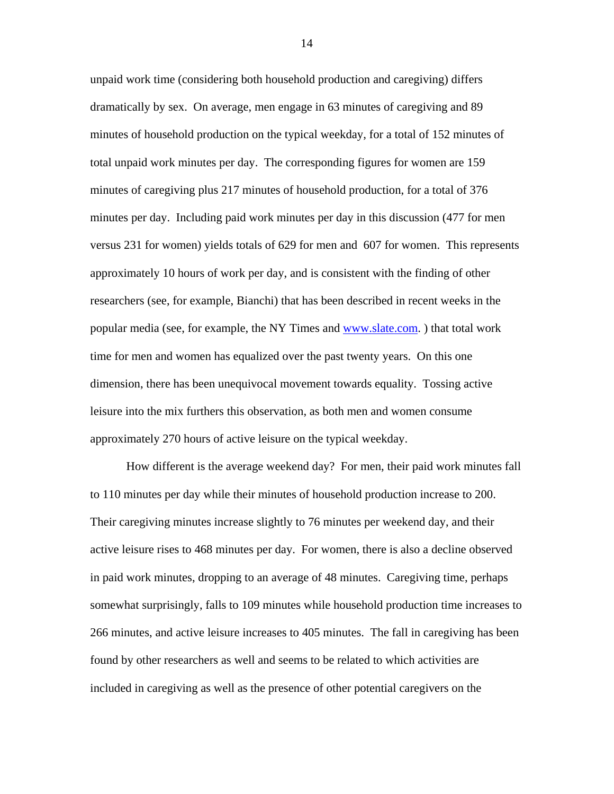unpaid work time (considering both household production and caregiving) differs dramatically by sex. On average, men engage in 63 minutes of caregiving and 89 minutes of household production on the typical weekday, for a total of 152 minutes of total unpaid work minutes per day. The corresponding figures for women are 159 minutes of caregiving plus 217 minutes of household production, for a total of 376 minutes per day. Including paid work minutes per day in this discussion (477 for men versus 231 for women) yields totals of 629 for men and 607 for women. This represents approximately 10 hours of work per day, and is consistent with the finding of other researchers (see, for example, Bianchi) that has been described in recent weeks in the popular media (see, for example, the NY Times and www.slate.com. ) that total work time for men and women has equalized over the past twenty years. On this one dimension, there has been unequivocal movement towards equality. Tossing active leisure into the mix furthers this observation, as both men and women consume approximately 270 hours of active leisure on the typical weekday.

How different is the average weekend day? For men, their paid work minutes fall to 110 minutes per day while their minutes of household production increase to 200. Their caregiving minutes increase slightly to 76 minutes per weekend day, and their active leisure rises to 468 minutes per day. For women, there is also a decline observed in paid work minutes, dropping to an average of 48 minutes. Caregiving time, perhaps somewhat surprisingly, falls to 109 minutes while household production time increases to 266 minutes, and active leisure increases to 405 minutes. The fall in caregiving has been found by other researchers as well and seems to be related to which activities are included in caregiving as well as the presence of other potential caregivers on the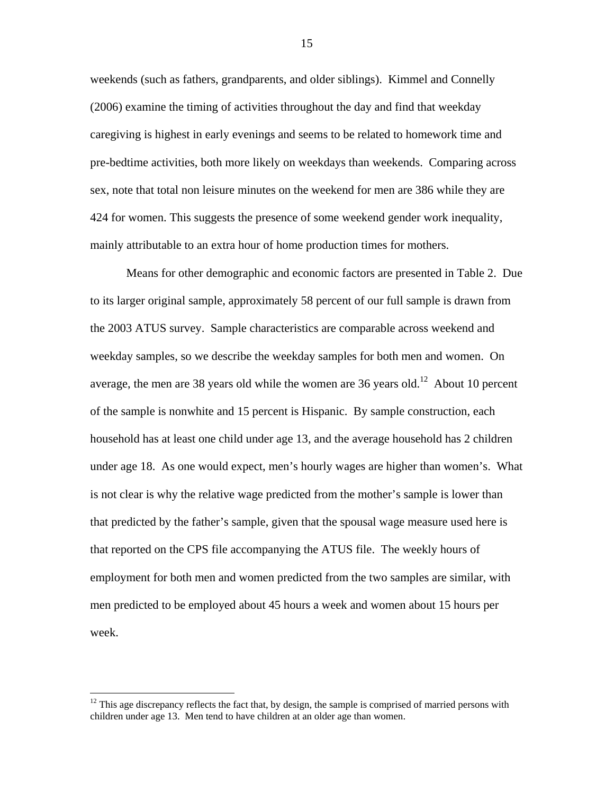weekends (such as fathers, grandparents, and older siblings). Kimmel and Connelly (2006) examine the timing of activities throughout the day and find that weekday caregiving is highest in early evenings and seems to be related to homework time and pre-bedtime activities, both more likely on weekdays than weekends. Comparing across sex, note that total non leisure minutes on the weekend for men are 386 while they are 424 for women. This suggests the presence of some weekend gender work inequality, mainly attributable to an extra hour of home production times for mothers.

 Means for other demographic and economic factors are presented in Table 2. Due to its larger original sample, approximately 58 percent of our full sample is drawn from the 2003 ATUS survey. Sample characteristics are comparable across weekend and weekday samples, so we describe the weekday samples for both men and women. On average, the men are 38 years old while the women are 36 years old.<sup>12</sup> About 10 percent of the sample is nonwhite and 15 percent is Hispanic. By sample construction, each household has at least one child under age 13, and the average household has 2 children under age 18. As one would expect, men's hourly wages are higher than women's. What is not clear is why the relative wage predicted from the mother's sample is lower than that predicted by the father's sample, given that the spousal wage measure used here is that reported on the CPS file accompanying the ATUS file. The weekly hours of employment for both men and women predicted from the two samples are similar, with men predicted to be employed about 45 hours a week and women about 15 hours per week.

 $12$  This age discrepancy reflects the fact that, by design, the sample is comprised of married persons with children under age 13. Men tend to have children at an older age than women.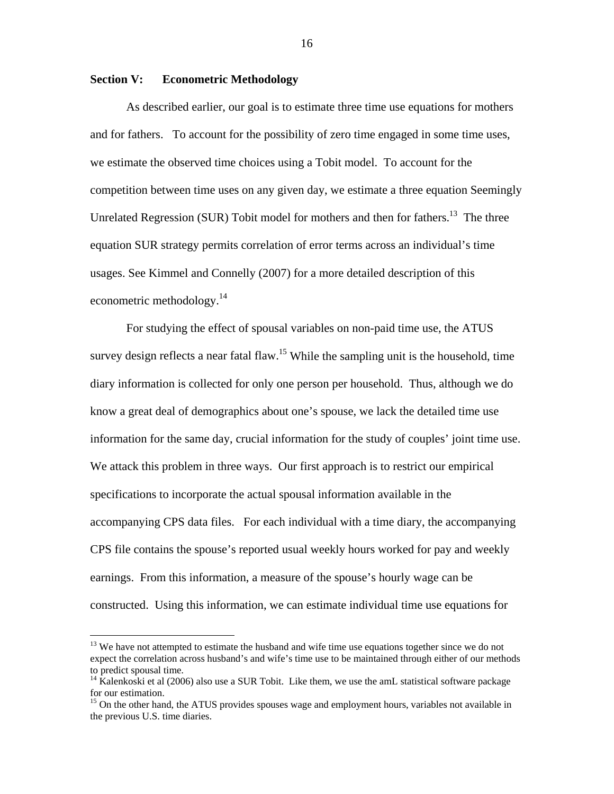#### **Section V: Econometric Methodology**

 $\overline{a}$ 

 As described earlier, our goal is to estimate three time use equations for mothers and for fathers. To account for the possibility of zero time engaged in some time uses, we estimate the observed time choices using a Tobit model. To account for the competition between time uses on any given day, we estimate a three equation Seemingly Unrelated Regression (SUR) Tobit model for mothers and then for fathers.<sup>13</sup> The three equation SUR strategy permits correlation of error terms across an individual's time usages. See Kimmel and Connelly (2007) for a more detailed description of this econometric methodology. $14$ 

For studying the effect of spousal variables on non-paid time use, the ATUS survey design reflects a near fatal flaw.<sup>15</sup> While the sampling unit is the household, time diary information is collected for only one person per household. Thus, although we do know a great deal of demographics about one's spouse, we lack the detailed time use information for the same day, crucial information for the study of couples' joint time use. We attack this problem in three ways. Our first approach is to restrict our empirical specifications to incorporate the actual spousal information available in the accompanying CPS data files. For each individual with a time diary, the accompanying CPS file contains the spouse's reported usual weekly hours worked for pay and weekly earnings. From this information, a measure of the spouse's hourly wage can be constructed. Using this information, we can estimate individual time use equations for

 $13$  We have not attempted to estimate the husband and wife time use equations together since we do not expect the correlation across husband's and wife's time use to be maintained through either of our methods to predict spousal time.

<sup>&</sup>lt;sup>14</sup> Kalenkoski et al (2006) also use a SUR Tobit. Like them, we use the amL statistical software package for our estimation.

<sup>&</sup>lt;sup>15</sup> On the other hand, the ATUS provides spouses wage and employment hours, variables not available in the previous U.S. time diaries.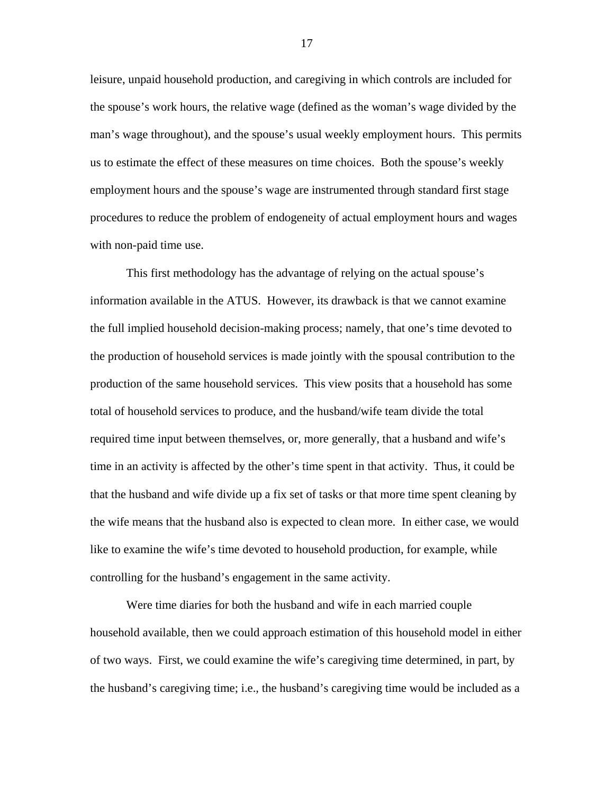leisure, unpaid household production, and caregiving in which controls are included for the spouse's work hours, the relative wage (defined as the woman's wage divided by the man's wage throughout), and the spouse's usual weekly employment hours. This permits us to estimate the effect of these measures on time choices. Both the spouse's weekly employment hours and the spouse's wage are instrumented through standard first stage procedures to reduce the problem of endogeneity of actual employment hours and wages with non-paid time use.

 This first methodology has the advantage of relying on the actual spouse's information available in the ATUS. However, its drawback is that we cannot examine the full implied household decision-making process; namely, that one's time devoted to the production of household services is made jointly with the spousal contribution to the production of the same household services. This view posits that a household has some total of household services to produce, and the husband/wife team divide the total required time input between themselves, or, more generally, that a husband and wife's time in an activity is affected by the other's time spent in that activity. Thus, it could be that the husband and wife divide up a fix set of tasks or that more time spent cleaning by the wife means that the husband also is expected to clean more. In either case, we would like to examine the wife's time devoted to household production, for example, while controlling for the husband's engagement in the same activity.

 Were time diaries for both the husband and wife in each married couple household available, then we could approach estimation of this household model in either of two ways. First, we could examine the wife's caregiving time determined, in part, by the husband's caregiving time; i.e., the husband's caregiving time would be included as a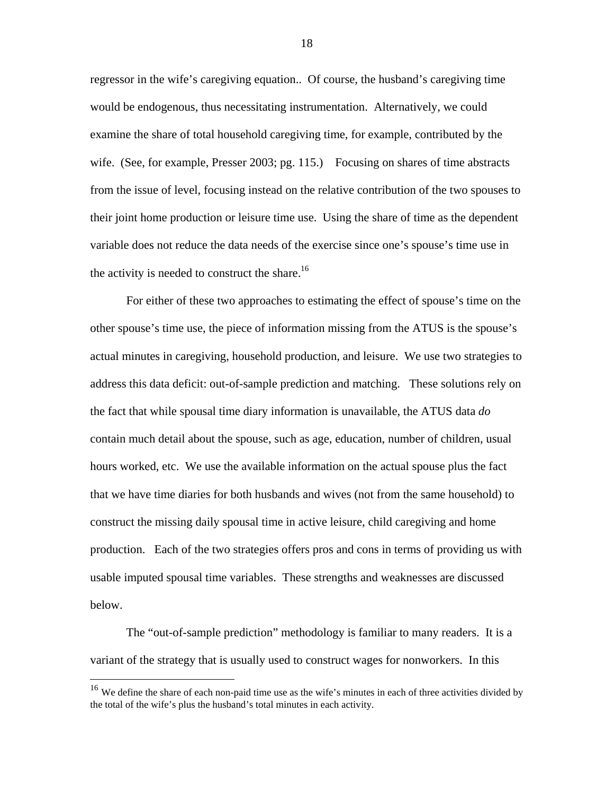regressor in the wife's caregiving equation.. Of course, the husband's caregiving time would be endogenous, thus necessitating instrumentation. Alternatively, we could examine the share of total household caregiving time, for example, contributed by the wife. (See, for example, Presser 2003; pg. 115.) Focusing on shares of time abstracts from the issue of level, focusing instead on the relative contribution of the two spouses to their joint home production or leisure time use. Using the share of time as the dependent variable does not reduce the data needs of the exercise since one's spouse's time use in the activity is needed to construct the share.<sup>16</sup>

For either of these two approaches to estimating the effect of spouse's time on the other spouse's time use, the piece of information missing from the ATUS is the spouse's actual minutes in caregiving, household production, and leisure. We use two strategies to address this data deficit: out-of-sample prediction and matching. These solutions rely on the fact that while spousal time diary information is unavailable, the ATUS data *do* contain much detail about the spouse, such as age, education, number of children, usual hours worked, etc. We use the available information on the actual spouse plus the fact that we have time diaries for both husbands and wives (not from the same household) to construct the missing daily spousal time in active leisure, child caregiving and home production. Each of the two strategies offers pros and cons in terms of providing us with usable imputed spousal time variables. These strengths and weaknesses are discussed below.

 The "out-of-sample prediction" methodology is familiar to many readers. It is a variant of the strategy that is usually used to construct wages for nonworkers. In this

 $\overline{a}$ 

<sup>&</sup>lt;sup>16</sup> We define the share of each non-paid time use as the wife's minutes in each of three activities divided by the total of the wife's plus the husband's total minutes in each activity.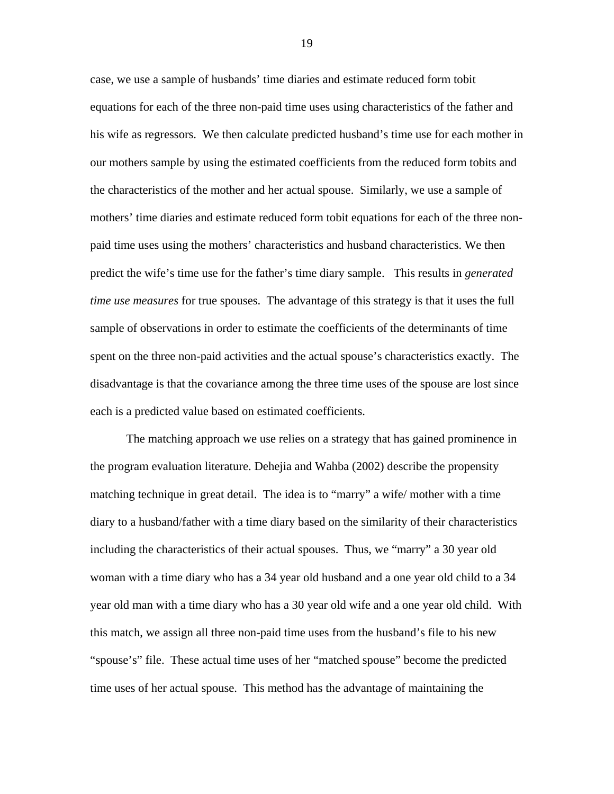case, we use a sample of husbands' time diaries and estimate reduced form tobit equations for each of the three non-paid time uses using characteristics of the father and his wife as regressors. We then calculate predicted husband's time use for each mother in our mothers sample by using the estimated coefficients from the reduced form tobits and the characteristics of the mother and her actual spouse. Similarly, we use a sample of mothers' time diaries and estimate reduced form tobit equations for each of the three nonpaid time uses using the mothers' characteristics and husband characteristics. We then predict the wife's time use for the father's time diary sample. This results in *generated time use measures* for true spouses. The advantage of this strategy is that it uses the full sample of observations in order to estimate the coefficients of the determinants of time spent on the three non-paid activities and the actual spouse's characteristics exactly. The disadvantage is that the covariance among the three time uses of the spouse are lost since each is a predicted value based on estimated coefficients.

 The matching approach we use relies on a strategy that has gained prominence in the program evaluation literature. Dehejia and Wahba (2002) describe the propensity matching technique in great detail. The idea is to "marry" a wife/ mother with a time diary to a husband/father with a time diary based on the similarity of their characteristics including the characteristics of their actual spouses. Thus, we "marry" a 30 year old woman with a time diary who has a 34 year old husband and a one year old child to a 34 year old man with a time diary who has a 30 year old wife and a one year old child. With this match, we assign all three non-paid time uses from the husband's file to his new "spouse's" file. These actual time uses of her "matched spouse" become the predicted time uses of her actual spouse. This method has the advantage of maintaining the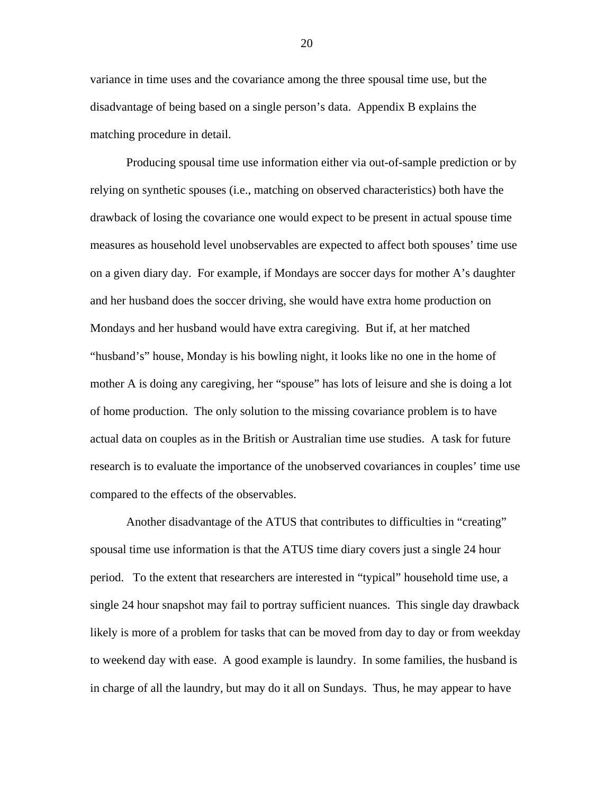variance in time uses and the covariance among the three spousal time use, but the disadvantage of being based on a single person's data. Appendix B explains the matching procedure in detail.

 Producing spousal time use information either via out-of-sample prediction or by relying on synthetic spouses (i.e., matching on observed characteristics) both have the drawback of losing the covariance one would expect to be present in actual spouse time measures as household level unobservables are expected to affect both spouses' time use on a given diary day.For example, if Mondays are soccer days for mother A's daughter and her husband does the soccer driving, she would have extra home production on Mondays and her husband would have extra caregiving. But if, at her matched "husband's" house, Monday is his bowling night, it looks like no one in the home of mother A is doing any caregiving, her "spouse" has lots of leisure and she is doing a lot of home production. The only solution to the missing covariance problem is to have actual data on couples as in the British or Australian time use studies. A task for future research is to evaluate the importance of the unobserved covariances in couples' time use compared to the effects of the observables.

 Another disadvantage of the ATUS that contributes to difficulties in "creating" spousal time use information is that the ATUS time diary covers just a single 24 hour period. To the extent that researchers are interested in "typical" household time use, a single 24 hour snapshot may fail to portray sufficient nuances. This single day drawback likely is more of a problem for tasks that can be moved from day to day or from weekday to weekend day with ease. A good example is laundry. In some families, the husband is in charge of all the laundry, but may do it all on Sundays. Thus, he may appear to have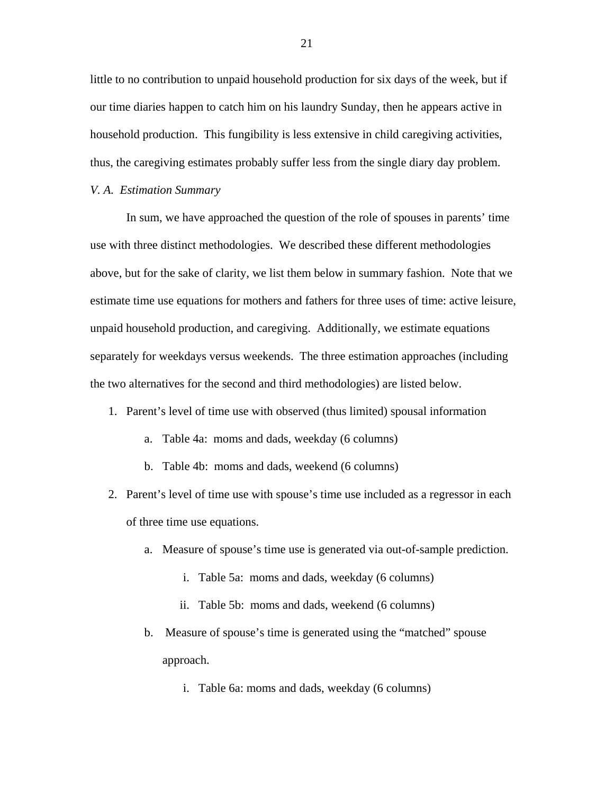little to no contribution to unpaid household production for six days of the week, but if our time diaries happen to catch him on his laundry Sunday, then he appears active in household production. This fungibility is less extensive in child caregiving activities, thus, the caregiving estimates probably suffer less from the single diary day problem.

#### *V. A. Estimation Summary*

 In sum, we have approached the question of the role of spouses in parents' time use with three distinct methodologies. We described these different methodologies above, but for the sake of clarity, we list them below in summary fashion. Note that we estimate time use equations for mothers and fathers for three uses of time: active leisure, unpaid household production, and caregiving. Additionally, we estimate equations separately for weekdays versus weekends. The three estimation approaches (including the two alternatives for the second and third methodologies) are listed below.

- 1. Parent's level of time use with observed (thus limited) spousal information
	- a. Table 4a: moms and dads, weekday (6 columns)
	- b. Table 4b: moms and dads, weekend (6 columns)
- 2. Parent's level of time use with spouse's time use included as a regressor in each of three time use equations.
	- a. Measure of spouse's time use is generated via out-of-sample prediction.
		- i. Table 5a: moms and dads, weekday (6 columns)
		- ii. Table 5b: moms and dads, weekend (6 columns)
	- b. Measure of spouse's time is generated using the "matched" spouse approach.
		- i. Table 6a: moms and dads, weekday (6 columns)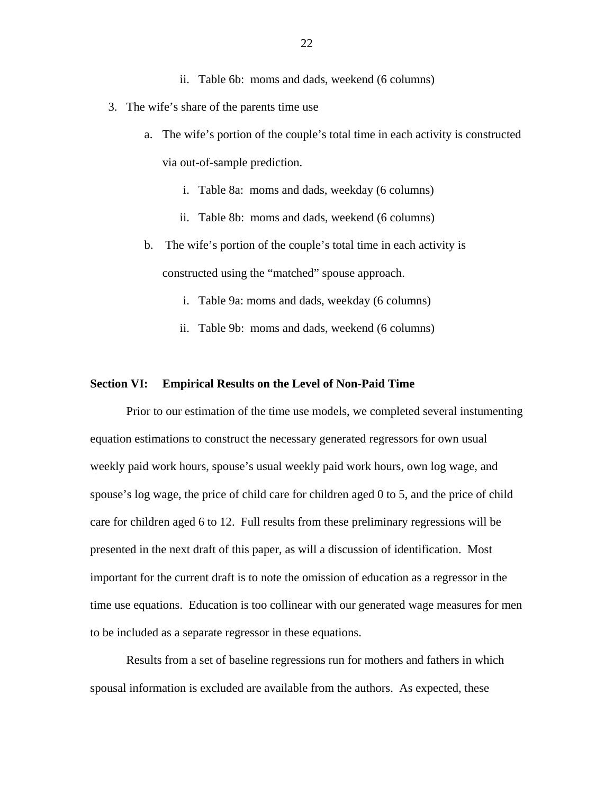- ii. Table 6b: moms and dads, weekend (6 columns)
- 3. The wife's share of the parents time use
	- a. The wife's portion of the couple's total time in each activity is constructed via out-of-sample prediction.
		- i. Table 8a: moms and dads, weekday (6 columns)
		- ii. Table 8b: moms and dads, weekend (6 columns)
	- b. The wife's portion of the couple's total time in each activity is constructed using the "matched" spouse approach.
		- i. Table 9a: moms and dads, weekday (6 columns)
		- ii. Table 9b: moms and dads, weekend (6 columns)

#### **Section VI: Empirical Results on the Level of Non-Paid Time**

 Prior to our estimation of the time use models, we completed several instumenting equation estimations to construct the necessary generated regressors for own usual weekly paid work hours, spouse's usual weekly paid work hours, own log wage, and spouse's log wage, the price of child care for children aged 0 to 5, and the price of child care for children aged 6 to 12. Full results from these preliminary regressions will be presented in the next draft of this paper, as will a discussion of identification. Most important for the current draft is to note the omission of education as a regressor in the time use equations. Education is too collinear with our generated wage measures for men to be included as a separate regressor in these equations.

Results from a set of baseline regressions run for mothers and fathers in which spousal information is excluded are available from the authors. As expected, these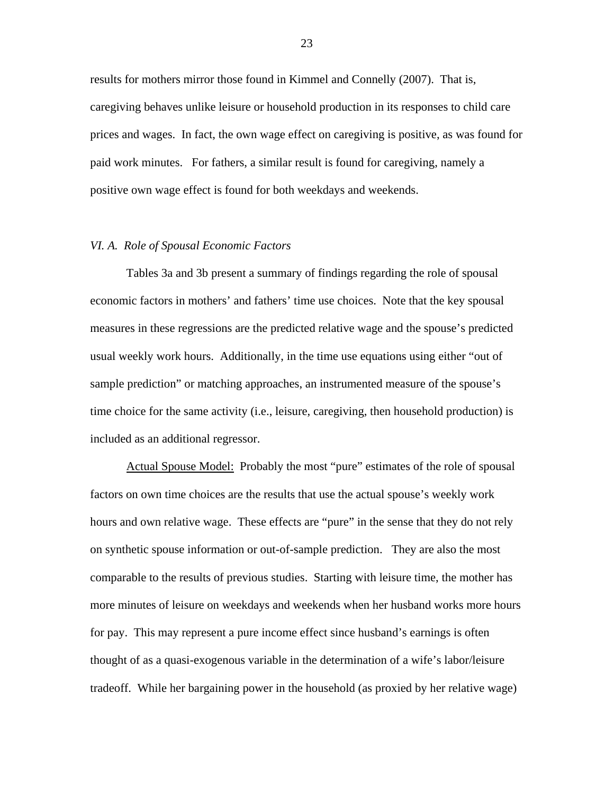results for mothers mirror those found in Kimmel and Connelly (2007). That is, caregiving behaves unlike leisure or household production in its responses to child care prices and wages. In fact, the own wage effect on caregiving is positive, as was found for paid work minutes. For fathers, a similar result is found for caregiving, namely a positive own wage effect is found for both weekdays and weekends.

#### *VI. A. Role of Spousal Economic Factors*

Tables 3a and 3b present a summary of findings regarding the role of spousal economic factors in mothers' and fathers' time use choices. Note that the key spousal measures in these regressions are the predicted relative wage and the spouse's predicted usual weekly work hours. Additionally, in the time use equations using either "out of sample prediction" or matching approaches, an instrumented measure of the spouse's time choice for the same activity (i.e., leisure, caregiving, then household production) is included as an additional regressor.

Actual Spouse Model: Probably the most "pure" estimates of the role of spousal factors on own time choices are the results that use the actual spouse's weekly work hours and own relative wage. These effects are "pure" in the sense that they do not rely on synthetic spouse information or out-of-sample prediction. They are also the most comparable to the results of previous studies. Starting with leisure time, the mother has more minutes of leisure on weekdays and weekends when her husband works more hours for pay. This may represent a pure income effect since husband's earnings is often thought of as a quasi-exogenous variable in the determination of a wife's labor/leisure tradeoff. While her bargaining power in the household (as proxied by her relative wage)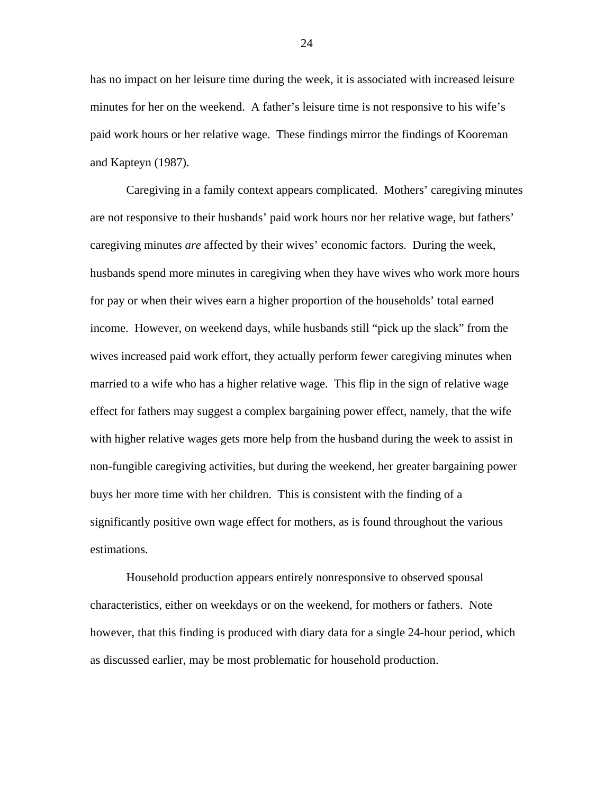has no impact on her leisure time during the week, it is associated with increased leisure minutes for her on the weekend. A father's leisure time is not responsive to his wife's paid work hours or her relative wage. These findings mirror the findings of Kooreman and Kapteyn (1987).

Caregiving in a family context appears complicated. Mothers' caregiving minutes are not responsive to their husbands' paid work hours nor her relative wage, but fathers' caregiving minutes *are* affected by their wives' economic factors. During the week, husbands spend more minutes in caregiving when they have wives who work more hours for pay or when their wives earn a higher proportion of the households' total earned income. However, on weekend days, while husbands still "pick up the slack" from the wives increased paid work effort, they actually perform fewer caregiving minutes when married to a wife who has a higher relative wage. This flip in the sign of relative wage effect for fathers may suggest a complex bargaining power effect, namely, that the wife with higher relative wages gets more help from the husband during the week to assist in non-fungible caregiving activities, but during the weekend, her greater bargaining power buys her more time with her children. This is consistent with the finding of a significantly positive own wage effect for mothers, as is found throughout the various estimations.

Household production appears entirely nonresponsive to observed spousal characteristics, either on weekdays or on the weekend, for mothers or fathers. Note however, that this finding is produced with diary data for a single 24-hour period, which as discussed earlier, may be most problematic for household production.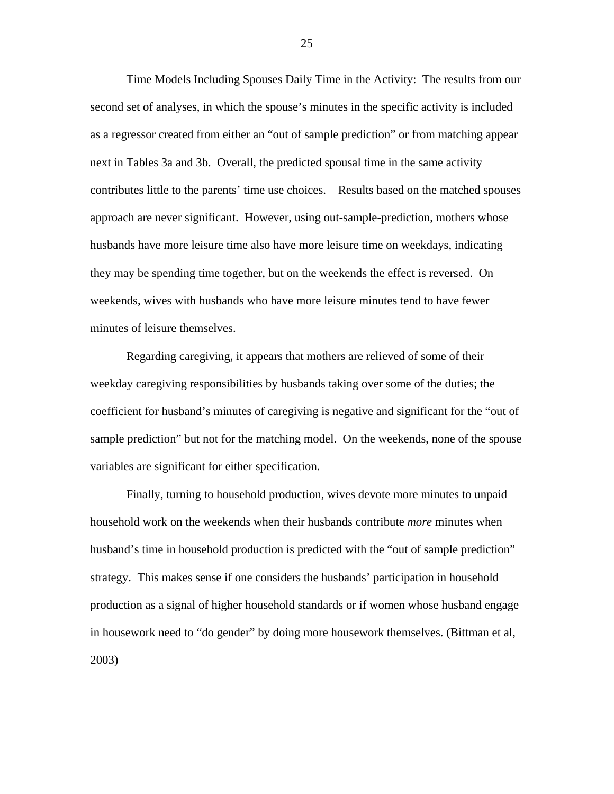Time Models Including Spouses Daily Time in the Activity: The results from our second set of analyses, in which the spouse's minutes in the specific activity is included as a regressor created from either an "out of sample prediction" or from matching appear next in Tables 3a and 3b. Overall, the predicted spousal time in the same activity contributes little to the parents' time use choices. Results based on the matched spouses approach are never significant. However, using out-sample-prediction, mothers whose husbands have more leisure time also have more leisure time on weekdays, indicating they may be spending time together, but on the weekends the effect is reversed. On weekends, wives with husbands who have more leisure minutes tend to have fewer minutes of leisure themselves.

Regarding caregiving, it appears that mothers are relieved of some of their weekday caregiving responsibilities by husbands taking over some of the duties; the coefficient for husband's minutes of caregiving is negative and significant for the "out of sample prediction" but not for the matching model. On the weekends, none of the spouse variables are significant for either specification.

Finally, turning to household production, wives devote more minutes to unpaid household work on the weekends when their husbands contribute *more* minutes when husband's time in household production is predicted with the "out of sample prediction" strategy. This makes sense if one considers the husbands' participation in household production as a signal of higher household standards or if women whose husband engage in housework need to "do gender" by doing more housework themselves. (Bittman et al, 2003)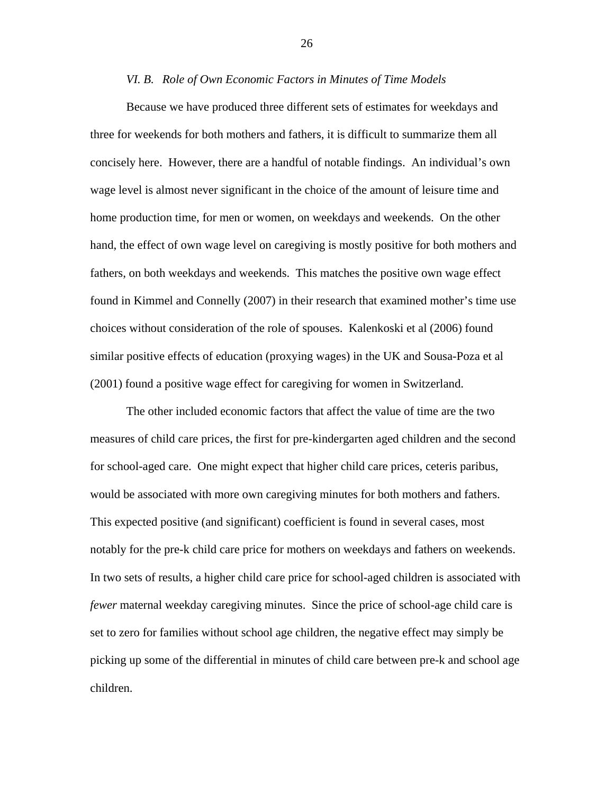#### *VI. B. Role of Own Economic Factors in Minutes of Time Models*

 Because we have produced three different sets of estimates for weekdays and three for weekends for both mothers and fathers, it is difficult to summarize them all concisely here. However, there are a handful of notable findings. An individual's own wage level is almost never significant in the choice of the amount of leisure time and home production time, for men or women, on weekdays and weekends. On the other hand, the effect of own wage level on caregiving is mostly positive for both mothers and fathers, on both weekdays and weekends. This matches the positive own wage effect found in Kimmel and Connelly (2007) in their research that examined mother's time use choices without consideration of the role of spouses. Kalenkoski et al (2006) found similar positive effects of education (proxying wages) in the UK and Sousa-Poza et al (2001) found a positive wage effect for caregiving for women in Switzerland.

 The other included economic factors that affect the value of time are the two measures of child care prices, the first for pre-kindergarten aged children and the second for school-aged care. One might expect that higher child care prices, ceteris paribus, would be associated with more own caregiving minutes for both mothers and fathers. This expected positive (and significant) coefficient is found in several cases, most notably for the pre-k child care price for mothers on weekdays and fathers on weekends. In two sets of results, a higher child care price for school-aged children is associated with *fewer* maternal weekday caregiving minutes. Since the price of school-age child care is set to zero for families without school age children, the negative effect may simply be picking up some of the differential in minutes of child care between pre-k and school age children.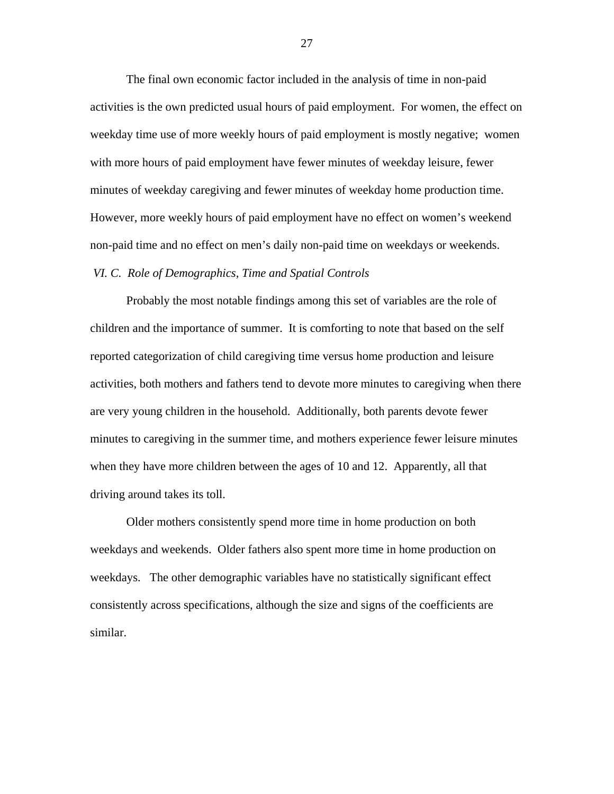The final own economic factor included in the analysis of time in non-paid activities is the own predicted usual hours of paid employment. For women, the effect on weekday time use of more weekly hours of paid employment is mostly negative; women with more hours of paid employment have fewer minutes of weekday leisure, fewer minutes of weekday caregiving and fewer minutes of weekday home production time. However, more weekly hours of paid employment have no effect on women's weekend non-paid time and no effect on men's daily non-paid time on weekdays or weekends. *VI. C. Role of Demographics, Time and Spatial Controls*

 Probably the most notable findings among this set of variables are the role of children and the importance of summer. It is comforting to note that based on the self reported categorization of child caregiving time versus home production and leisure activities, both mothers and fathers tend to devote more minutes to caregiving when there are very young children in the household. Additionally, both parents devote fewer minutes to caregiving in the summer time, and mothers experience fewer leisure minutes when they have more children between the ages of 10 and 12. Apparently, all that driving around takes its toll.

 Older mothers consistently spend more time in home production on both weekdays and weekends. Older fathers also spent more time in home production on weekdays. The other demographic variables have no statistically significant effect consistently across specifications, although the size and signs of the coefficients are similar.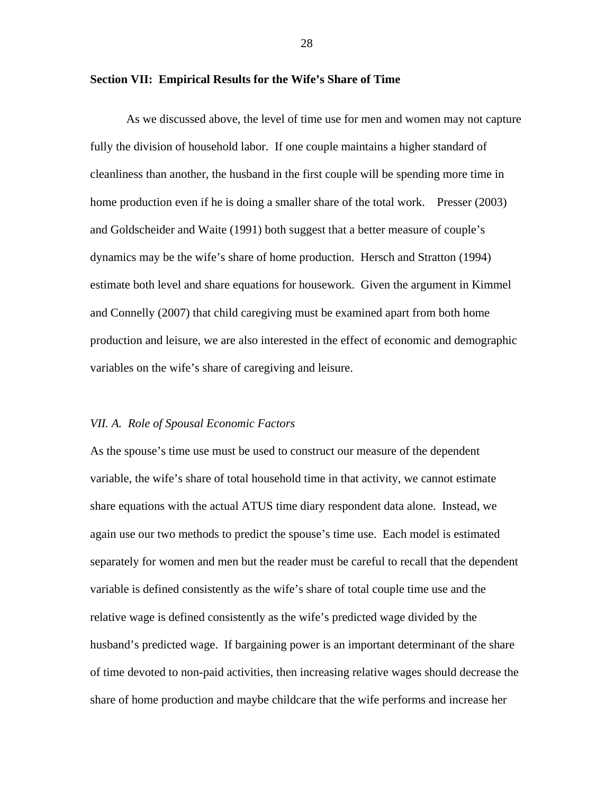#### **Section VII: Empirical Results for the Wife's Share of Time**

 As we discussed above, the level of time use for men and women may not capture fully the division of household labor. If one couple maintains a higher standard of cleanliness than another, the husband in the first couple will be spending more time in home production even if he is doing a smaller share of the total work. Presser (2003) and Goldscheider and Waite (1991) both suggest that a better measure of couple's dynamics may be the wife's share of home production. Hersch and Stratton (1994) estimate both level and share equations for housework. Given the argument in Kimmel and Connelly (2007) that child caregiving must be examined apart from both home production and leisure, we are also interested in the effect of economic and demographic variables on the wife's share of caregiving and leisure.

#### *VII. A. Role of Spousal Economic Factors*

As the spouse's time use must be used to construct our measure of the dependent variable, the wife's share of total household time in that activity, we cannot estimate share equations with the actual ATUS time diary respondent data alone. Instead, we again use our two methods to predict the spouse's time use. Each model is estimated separately for women and men but the reader must be careful to recall that the dependent variable is defined consistently as the wife's share of total couple time use and the relative wage is defined consistently as the wife's predicted wage divided by the husband's predicted wage. If bargaining power is an important determinant of the share of time devoted to non-paid activities, then increasing relative wages should decrease the share of home production and maybe childcare that the wife performs and increase her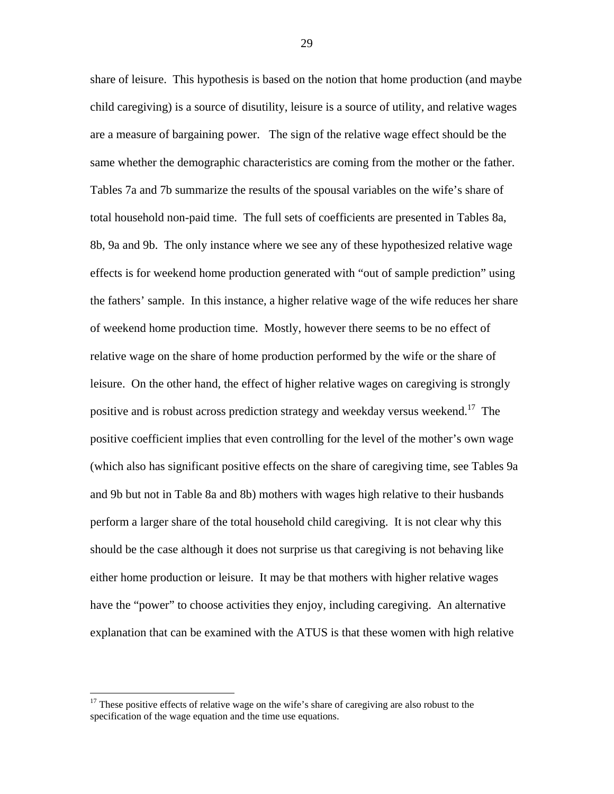share of leisure. This hypothesis is based on the notion that home production (and maybe child caregiving) is a source of disutility, leisure is a source of utility, and relative wages are a measure of bargaining power. The sign of the relative wage effect should be the same whether the demographic characteristics are coming from the mother or the father. Tables 7a and 7b summarize the results of the spousal variables on the wife's share of total household non-paid time. The full sets of coefficients are presented in Tables 8a, 8b, 9a and 9b. The only instance where we see any of these hypothesized relative wage effects is for weekend home production generated with "out of sample prediction" using the fathers' sample. In this instance, a higher relative wage of the wife reduces her share of weekend home production time. Mostly, however there seems to be no effect of relative wage on the share of home production performed by the wife or the share of leisure. On the other hand, the effect of higher relative wages on caregiving is strongly positive and is robust across prediction strategy and weekday versus weekend.<sup>17</sup> The positive coefficient implies that even controlling for the level of the mother's own wage (which also has significant positive effects on the share of caregiving time, see Tables 9a and 9b but not in Table 8a and 8b) mothers with wages high relative to their husbands perform a larger share of the total household child caregiving. It is not clear why this should be the case although it does not surprise us that caregiving is not behaving like either home production or leisure. It may be that mothers with higher relative wages have the "power" to choose activities they enjoy, including caregiving. An alternative explanation that can be examined with the ATUS is that these women with high relative

 $\overline{a}$ 

 $17$  These positive effects of relative wage on the wife's share of caregiving are also robust to the specification of the wage equation and the time use equations.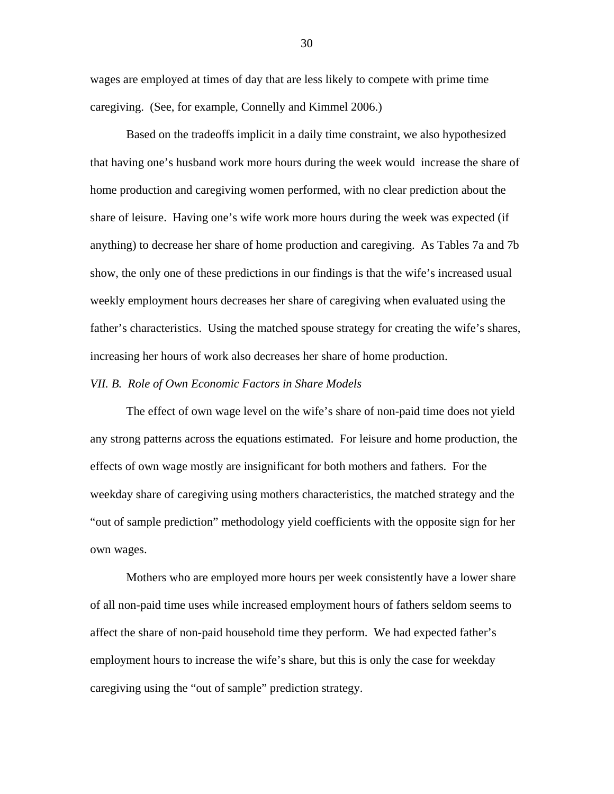wages are employed at times of day that are less likely to compete with prime time caregiving. (See, for example, Connelly and Kimmel 2006.)

Based on the tradeoffs implicit in a daily time constraint, we also hypothesized that having one's husband work more hours during the week would increase the share of home production and caregiving women performed, with no clear prediction about the share of leisure. Having one's wife work more hours during the week was expected (if anything) to decrease her share of home production and caregiving. As Tables 7a and 7b show, the only one of these predictions in our findings is that the wife's increased usual weekly employment hours decreases her share of caregiving when evaluated using the father's characteristics. Using the matched spouse strategy for creating the wife's shares, increasing her hours of work also decreases her share of home production.

#### *VII. B. Role of Own Economic Factors in Share Models*

 The effect of own wage level on the wife's share of non-paid time does not yield any strong patterns across the equations estimated. For leisure and home production, the effects of own wage mostly are insignificant for both mothers and fathers. For the weekday share of caregiving using mothers characteristics, the matched strategy and the "out of sample prediction" methodology yield coefficients with the opposite sign for her own wages.

 Mothers who are employed more hours per week consistently have a lower share of all non-paid time uses while increased employment hours of fathers seldom seems to affect the share of non-paid household time they perform. We had expected father's employment hours to increase the wife's share, but this is only the case for weekday caregiving using the "out of sample" prediction strategy.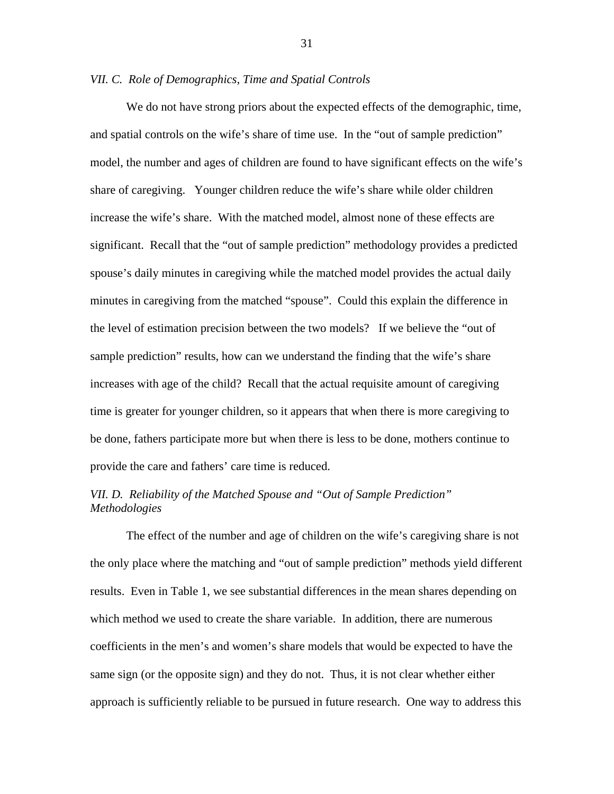#### *VII. C. Role of Demographics, Time and Spatial Controls*

 We do not have strong priors about the expected effects of the demographic, time, and spatial controls on the wife's share of time use. In the "out of sample prediction" model, the number and ages of children are found to have significant effects on the wife's share of caregiving. Younger children reduce the wife's share while older children increase the wife's share. With the matched model, almost none of these effects are significant. Recall that the "out of sample prediction" methodology provides a predicted spouse's daily minutes in caregiving while the matched model provides the actual daily minutes in caregiving from the matched "spouse". Could this explain the difference in the level of estimation precision between the two models? If we believe the "out of sample prediction" results, how can we understand the finding that the wife's share increases with age of the child? Recall that the actual requisite amount of caregiving time is greater for younger children, so it appears that when there is more caregiving to be done, fathers participate more but when there is less to be done, mothers continue to provide the care and fathers' care time is reduced.

#### *VII. D. Reliability of the Matched Spouse and "Out of Sample Prediction" Methodologies*

 The effect of the number and age of children on the wife's caregiving share is not the only place where the matching and "out of sample prediction" methods yield different results. Even in Table 1, we see substantial differences in the mean shares depending on which method we used to create the share variable. In addition, there are numerous coefficients in the men's and women's share models that would be expected to have the same sign (or the opposite sign) and they do not. Thus, it is not clear whether either approach is sufficiently reliable to be pursued in future research. One way to address this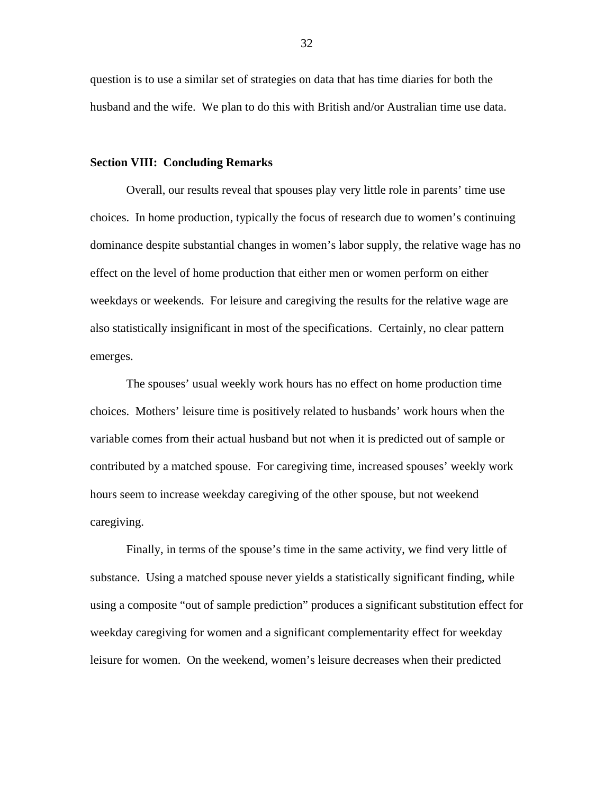question is to use a similar set of strategies on data that has time diaries for both the husband and the wife. We plan to do this with British and/or Australian time use data.

#### **Section VIII: Concluding Remarks**

 Overall, our results reveal that spouses play very little role in parents' time use choices. In home production, typically the focus of research due to women's continuing dominance despite substantial changes in women's labor supply, the relative wage has no effect on the level of home production that either men or women perform on either weekdays or weekends. For leisure and caregiving the results for the relative wage are also statistically insignificant in most of the specifications. Certainly, no clear pattern emerges.

 The spouses' usual weekly work hours has no effect on home production time choices. Mothers' leisure time is positively related to husbands' work hours when the variable comes from their actual husband but not when it is predicted out of sample or contributed by a matched spouse. For caregiving time, increased spouses' weekly work hours seem to increase weekday caregiving of the other spouse, but not weekend caregiving.

 Finally, in terms of the spouse's time in the same activity, we find very little of substance. Using a matched spouse never yields a statistically significant finding, while using a composite "out of sample prediction" produces a significant substitution effect for weekday caregiving for women and a significant complementarity effect for weekday leisure for women. On the weekend, women's leisure decreases when their predicted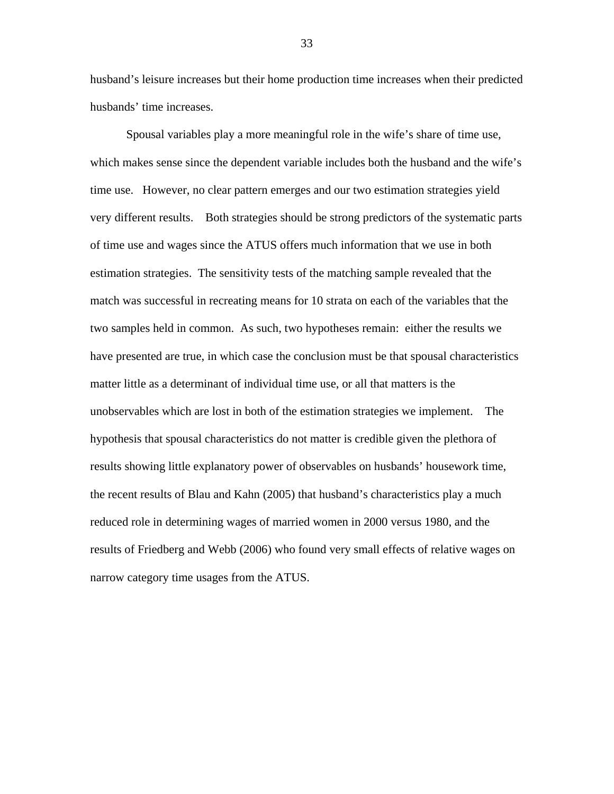husband's leisure increases but their home production time increases when their predicted husbands' time increases.

 Spousal variables play a more meaningful role in the wife's share of time use, which makes sense since the dependent variable includes both the husband and the wife's time use. However, no clear pattern emerges and our two estimation strategies yield very different results. Both strategies should be strong predictors of the systematic parts of time use and wages since the ATUS offers much information that we use in both estimation strategies. The sensitivity tests of the matching sample revealed that the match was successful in recreating means for 10 strata on each of the variables that the two samples held in common. As such, two hypotheses remain: either the results we have presented are true, in which case the conclusion must be that spousal characteristics matter little as a determinant of individual time use, or all that matters is the unobservables which are lost in both of the estimation strategies we implement. The hypothesis that spousal characteristics do not matter is credible given the plethora of results showing little explanatory power of observables on husbands' housework time, the recent results of Blau and Kahn (2005) that husband's characteristics play a much reduced role in determining wages of married women in 2000 versus 1980, and the results of Friedberg and Webb (2006) who found very small effects of relative wages on narrow category time usages from the ATUS.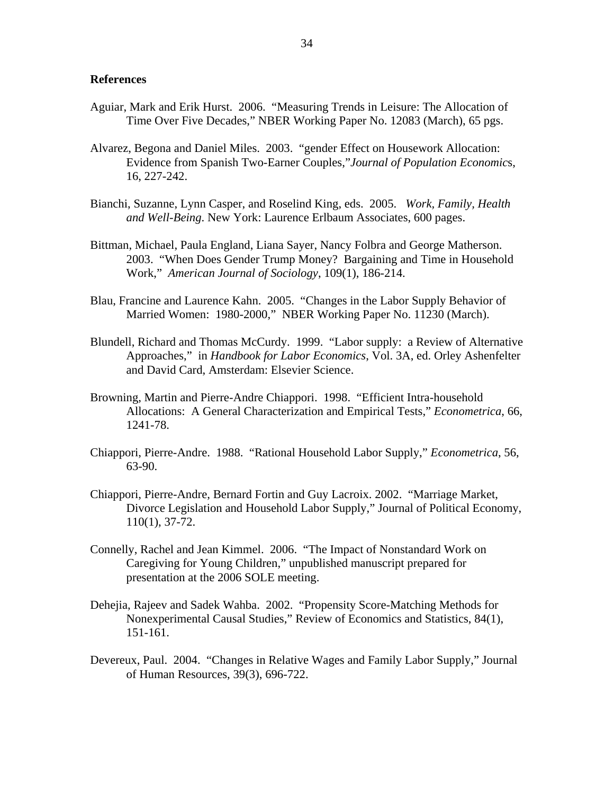#### **References**

- Aguiar, Mark and Erik Hurst. 2006. "Measuring Trends in Leisure: The Allocation of Time Over Five Decades," NBER Working Paper No. 12083 (March), 65 pgs.
- Alvarez, Begona and Daniel Miles. 2003. "gender Effect on Housework Allocation: Evidence from Spanish Two-Earner Couples,"*Journal of Population Economic*s, 16, 227-242.
- Bianchi, Suzanne, Lynn Casper, and Roselind King, eds. 2005. *Work, Family, Health and Well-Being*. New York: Laurence Erlbaum Associates, 600 pages.
- Bittman, Michael, Paula England, Liana Sayer, Nancy Folbra and George Matherson. 2003. "When Does Gender Trump Money? Bargaining and Time in Household Work," *American Journal of Sociology*, 109(1), 186-214.
- Blau, Francine and Laurence Kahn. 2005. "Changes in the Labor Supply Behavior of Married Women: 1980-2000," NBER Working Paper No. 11230 (March).
- Blundell, Richard and Thomas McCurdy. 1999. "Labor supply: a Review of Alternative Approaches," in *Handbook for Labor Economics*, Vol. 3A, ed. Orley Ashenfelter and David Card, Amsterdam: Elsevier Science.
- Browning, Martin and Pierre-Andre Chiappori. 1998. "Efficient Intra-household Allocations: A General Characterization and Empirical Tests," *Econometrica*, 66, 1241-78.
- Chiappori, Pierre-Andre. 1988. "Rational Household Labor Supply," *Econometrica*, 56, 63-90.
- Chiappori, Pierre-Andre, Bernard Fortin and Guy Lacroix. 2002. "Marriage Market, Divorce Legislation and Household Labor Supply," Journal of Political Economy, 110(1), 37-72.
- Connelly, Rachel and Jean Kimmel. 2006. "The Impact of Nonstandard Work on Caregiving for Young Children," unpublished manuscript prepared for presentation at the 2006 SOLE meeting.
- Dehejia, Rajeev and Sadek Wahba. 2002. "Propensity Score-Matching Methods for Nonexperimental Causal Studies," Review of Economics and Statistics, 84(1), 151-161.
- Devereux, Paul. 2004. "Changes in Relative Wages and Family Labor Supply," Journal of Human Resources, 39(3), 696-722.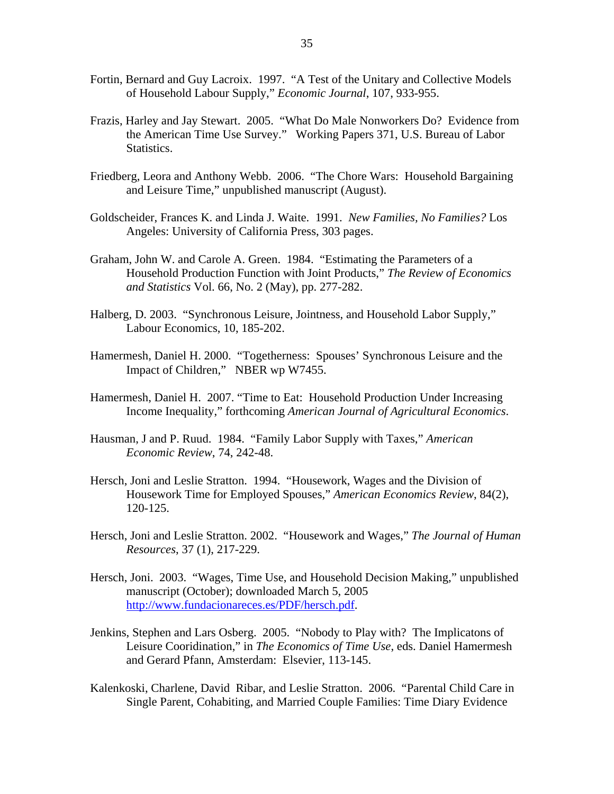- Fortin, Bernard and Guy Lacroix. 1997. "A Test of the Unitary and Collective Models of Household Labour Supply," *Economic Journal*, 107, 933-955.
- Frazis, Harley and Jay Stewart. 2005. "What Do Male Nonworkers Do? Evidence from the American Time Use Survey." Working Papers 371, U.S. Bureau of Labor Statistics.
- Friedberg, Leora and Anthony Webb. 2006. "The Chore Wars: Household Bargaining and Leisure Time," unpublished manuscript (August).
- Goldscheider, Frances K. and Linda J. Waite. 1991. *New Families, No Families?* Los Angeles: University of California Press, 303 pages.
- Graham, John W. and Carole A. Green. 1984. "Estimating the Parameters of a Household Production Function with Joint Products," *The Review of Economics and Statistics* Vol. 66, No. 2 (May), pp. 277-282.
- Halberg, D. 2003. "Synchronous Leisure, Jointness, and Household Labor Supply," Labour Economics, 10, 185-202.
- Hamermesh, Daniel H. 2000. "Togetherness: Spouses' Synchronous Leisure and the Impact of Children," NBER wp W7455.
- Hamermesh, Daniel H. 2007. "Time to Eat: Household Production Under Increasing Income Inequality," forthcoming *American Journal of Agricultural Economics*.
- Hausman, J and P. Ruud. 1984. "Family Labor Supply with Taxes," *American Economic Review*, 74, 242-48.
- Hersch, Joni and Leslie Stratton. 1994. "Housework, Wages and the Division of Housework Time for Employed Spouses," *American Economics Review*, 84(2), 120-125.
- Hersch, Joni and Leslie Stratton. 2002. "Housework and Wages," *The Journal of Human Resources*, 37 (1), 217-229.
- Hersch, Joni. 2003. "Wages, Time Use, and Household Decision Making," unpublished manuscript (October); downloaded March 5, 2005 http://www.fundacionareces.es/PDF/hersch.pdf.
- Jenkins, Stephen and Lars Osberg. 2005. "Nobody to Play with? The Implicatons of Leisure Cooridination," in *The Economics of Time Use*, eds. Daniel Hamermesh and Gerard Pfann, Amsterdam: Elsevier, 113-145.
- Kalenkoski, Charlene, David Ribar, and Leslie Stratton. 2006. "Parental Child Care in Single Parent, Cohabiting, and Married Couple Families: Time Diary Evidence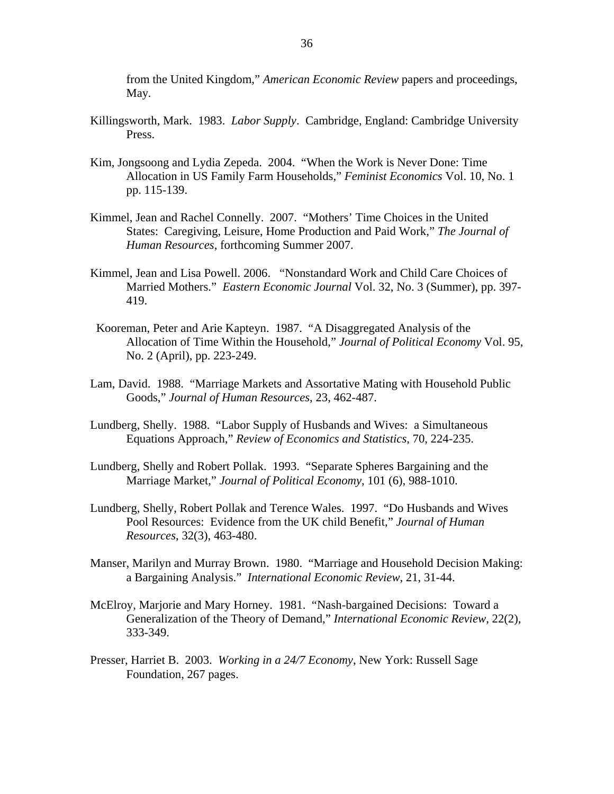from the United Kingdom," *American Economic Review* papers and proceedings, May*.*

- Killingsworth, Mark. 1983. *Labor Supply*. Cambridge, England: Cambridge University Press.
- Kim, Jongsoong and Lydia Zepeda. 2004. "When the Work is Never Done: Time Allocation in US Family Farm Households," *Feminist Economics* Vol. 10, No. 1 pp. 115-139.
- Kimmel, Jean and Rachel Connelly. 2007. "Mothers' Time Choices in the United States: Caregiving, Leisure, Home Production and Paid Work," *The Journal of Human Resources*, forthcoming Summer 2007.
- Kimmel, Jean and Lisa Powell. 2006. "Nonstandard Work and Child Care Choices of Married Mothers." *Eastern Economic Journal* Vol. 32, No. 3 (Summer), pp. 397- 419.
- Kooreman, Peter and Arie Kapteyn. 1987. "A Disaggregated Analysis of the Allocation of Time Within the Household," *Journal of Political Economy* Vol. 95, No. 2 (April), pp. 223-249.
- Lam, David. 1988. "Marriage Markets and Assortative Mating with Household Public Goods," *Journal of Human Resources*, 23, 462-487.
- Lundberg, Shelly. 1988. "Labor Supply of Husbands and Wives: a Simultaneous Equations Approach," *Review of Economics and Statistics*, 70, 224-235.
- Lundberg, Shelly and Robert Pollak. 1993. "Separate Spheres Bargaining and the Marriage Market," *Journal of Political Economy*, 101 (6), 988-1010.
- Lundberg, Shelly, Robert Pollak and Terence Wales. 1997. "Do Husbands and Wives Pool Resources: Evidence from the UK child Benefit," *Journal of Human Resources*, 32(3), 463-480.
- Manser, Marilyn and Murray Brown. 1980. "Marriage and Household Decision Making: a Bargaining Analysis." *International Economic Review*, 21, 31-44.
- McElroy, Marjorie and Mary Horney. 1981. "Nash-bargained Decisions: Toward a Generalization of the Theory of Demand," *International Economic Review*, 22(2), 333-349.
- Presser, Harriet B. 2003. *Working in a 24/7 Economy*, New York: Russell Sage Foundation, 267 pages.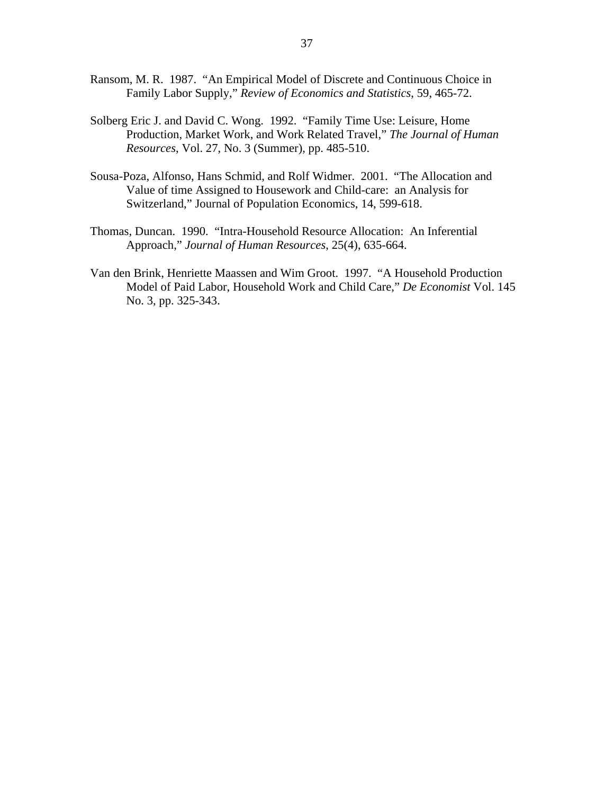- Ransom, M. R. 1987. "An Empirical Model of Discrete and Continuous Choice in Family Labor Supply," *Review of Economics and Statistics*, 59, 465-72.
- Solberg Eric J. and David C. Wong. 1992. "Family Time Use: Leisure, Home Production, Market Work, and Work Related Travel," *The Journal of Human Resources*, Vol. 27, No. 3 (Summer), pp. 485-510.
- Sousa-Poza, Alfonso, Hans Schmid, and Rolf Widmer. 2001. "The Allocation and Value of time Assigned to Housework and Child-care: an Analysis for Switzerland," Journal of Population Economics, 14, 599-618.
- Thomas, Duncan. 1990. "Intra-Household Resource Allocation: An Inferential Approach," *Journal of Human Resources*, 25(4), 635-664.
- Van den Brink, Henriette Maassen and Wim Groot. 1997. "A Household Production Model of Paid Labor, Household Work and Child Care," *De Economist* Vol. 145 No. 3, pp. 325-343.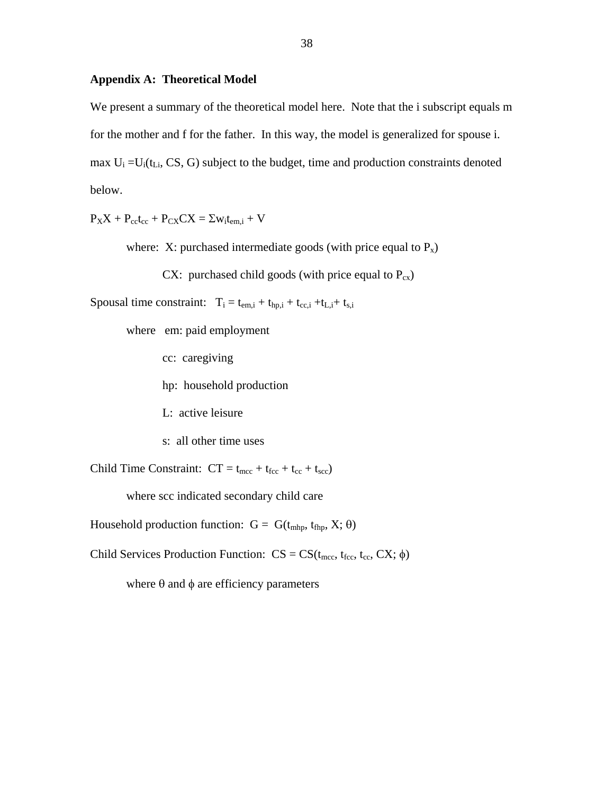#### **Appendix A: Theoretical Model**

We present a summary of the theoretical model here. Note that the i subscript equals m for the mother and f for the father. In this way, the model is generalized for spouse i. max  $U_i = U_i(t_{Li}, CS, G)$  subject to the budget, time and production constraints denoted below.

 $P_XX + P_{cct_{cc}} + P_{CX}CX = \Sigma w_i t_{em,i} + V$ 

where: X: purchased intermediate goods (with price equal to  $P_x$ )

CX: purchased child goods (with price equal to  $P_{cx}$ )

Spousal time constraint:  $T_i = t_{em,i} + t_{hp,i} + t_{cc,i} + t_{L,i} + t_{s,i}$ 

where em: paid employment

cc: caregiving

hp: household production

L: active leisure

s: all other time uses

Child Time Constraint:  $CT = t_{\text{mcc}} + t_{\text{fcc}} + t_{\text{cc}} + t_{\text{sec}})$ 

where scc indicated secondary child care

Household production function:  $G = G(t_{mho}, t_{fho}, X; \theta)$ 

Child Services Production Function:  $CS = CS(t_{mcc}, t_{fcc}, t_{cc}, CX; \phi)$ 

where  $\theta$  and  $\phi$  are efficiency parameters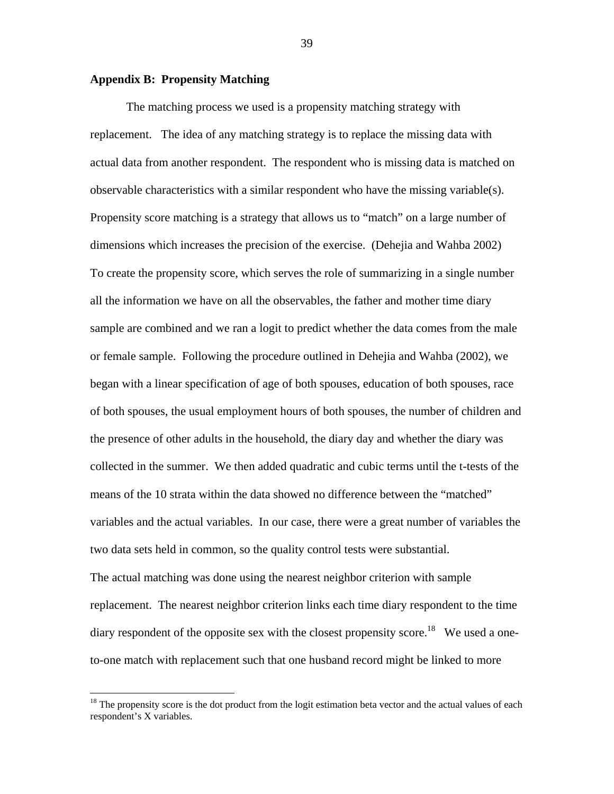#### **Appendix B: Propensity Matching**

 $\overline{a}$ 

 The matching process we used is a propensity matching strategy with replacement. The idea of any matching strategy is to replace the missing data with actual data from another respondent. The respondent who is missing data is matched on observable characteristics with a similar respondent who have the missing variable(s). Propensity score matching is a strategy that allows us to "match" on a large number of dimensions which increases the precision of the exercise. (Dehejia and Wahba 2002) To create the propensity score, which serves the role of summarizing in a single number all the information we have on all the observables, the father and mother time diary sample are combined and we ran a logit to predict whether the data comes from the male or female sample. Following the procedure outlined in Dehejia and Wahba (2002), we began with a linear specification of age of both spouses, education of both spouses, race of both spouses, the usual employment hours of both spouses, the number of children and the presence of other adults in the household, the diary day and whether the diary was collected in the summer. We then added quadratic and cubic terms until the t-tests of the means of the 10 strata within the data showed no difference between the "matched" variables and the actual variables. In our case, there were a great number of variables the two data sets held in common, so the quality control tests were substantial. The actual matching was done using the nearest neighbor criterion with sample replacement. The nearest neighbor criterion links each time diary respondent to the time diary respondent of the opposite sex with the closest propensity score.<sup>18</sup> We used a oneto-one match with replacement such that one husband record might be linked to more

<sup>&</sup>lt;sup>18</sup> The propensity score is the dot product from the logit estimation beta vector and the actual values of each respondent's X variables.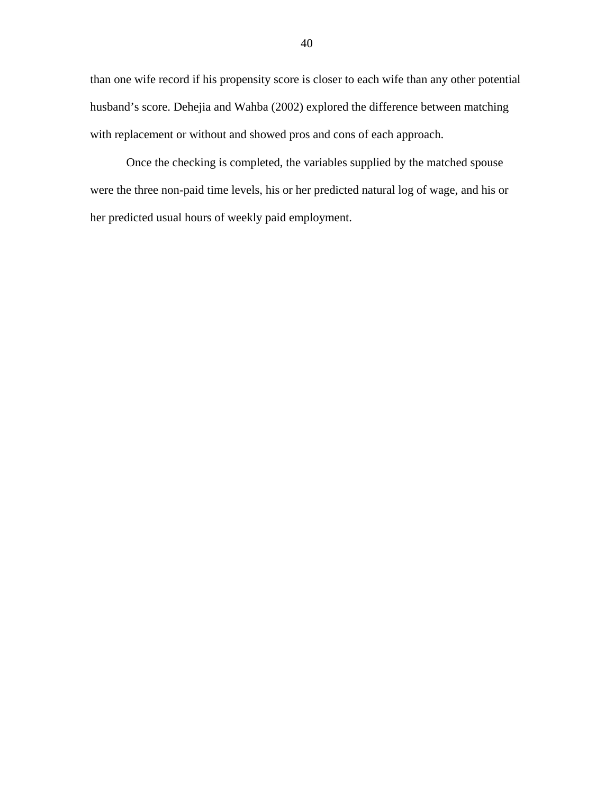than one wife record if his propensity score is closer to each wife than any other potential husband's score. Dehejia and Wahba (2002) explored the difference between matching with replacement or without and showed pros and cons of each approach.

 Once the checking is completed, the variables supplied by the matched spouse were the three non-paid time levels, his or her predicted natural log of wage, and his or her predicted usual hours of weekly paid employment.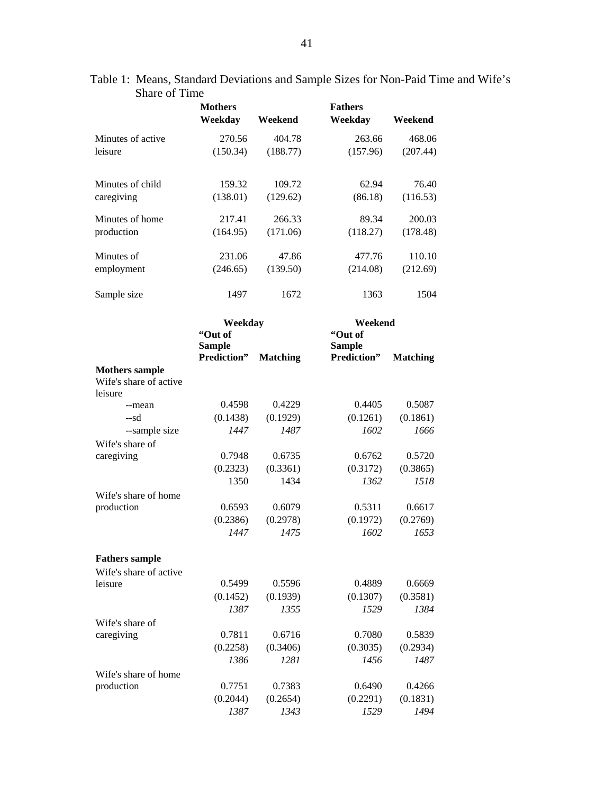|                        | <b>Mothers</b><br>Weekday    | Weekend         | <b>Fathers</b><br>Weekday    | Weekend         |  |
|------------------------|------------------------------|-----------------|------------------------------|-----------------|--|
| Minutes of active      | 270.56                       | 404.78          | 263.66                       | 468.06          |  |
| leisure                | (150.34)                     | (188.77)        | (157.96)                     | (207.44)        |  |
|                        |                              |                 |                              |                 |  |
| Minutes of child       | 159.32                       | 109.72          | 62.94                        | 76.40           |  |
| caregiving             | (138.01)                     | (129.62)        | (86.18)                      | (116.53)        |  |
| Minutes of home        | 217.41                       | 266.33          | 89.34                        | 200.03          |  |
| production             | (164.95)                     | (171.06)        | (118.27)                     | (178.48)        |  |
| Minutes of             | 231.06                       | 47.86           | 477.76                       | 110.10          |  |
| employment             | (246.65)                     | (139.50)        | (214.08)                     | (212.69)        |  |
| Sample size            | 1497                         | 1672            | 1363                         | 1504            |  |
|                        | Weekday                      |                 | Weekend                      |                 |  |
|                        | "Out of                      |                 | "Out of                      |                 |  |
|                        | <b>Sample</b><br>Prediction" | <b>Matching</b> | <b>Sample</b><br>Prediction" | <b>Matching</b> |  |
| <b>Mothers sample</b>  |                              |                 |                              |                 |  |
| Wife's share of active |                              |                 |                              |                 |  |
| leisure<br>--mean      | 0.4598                       | 0.4229          | 0.4405                       | 0.5087          |  |
| --sd                   | (0.1438)                     | (0.1929)        | (0.1261)                     | (0.1861)        |  |
| --sample size          | 1447                         | 1487            | 1602                         | 1666            |  |
| Wife's share of        |                              |                 |                              |                 |  |
| caregiving             | 0.7948                       | 0.6735          | 0.6762                       | 0.5720          |  |
|                        | (0.2323)                     | (0.3361)        | (0.3172)                     | (0.3865)        |  |
|                        | 1350                         | 1434            | 1362                         | 1518            |  |
| Wife's share of home   |                              |                 |                              |                 |  |
| production             | 0.6593                       | 0.6079          | 0.5311                       | 0.6617          |  |
|                        | (0.2386)                     | (0.2978)        | (0.1972)                     | (0.2769)        |  |
|                        | 1447                         | 1475            | 1602                         | 1653            |  |
| <b>Fathers sample</b>  |                              |                 |                              |                 |  |
| Wife's share of active |                              |                 |                              |                 |  |
| leisure                | 0.5499                       | 0.5596          | 0.4889                       | 0.6669          |  |
|                        | (0.1452)                     | (0.1939)        | (0.1307)                     | (0.3581)        |  |
|                        | 1387                         | 1355            | 1529                         | 1384            |  |
| Wife's share of        |                              |                 |                              |                 |  |
| caregiving             | 0.7811                       | 0.6716          | 0.7080                       | 0.5839          |  |
|                        | (0.2258)                     | (0.3406)        | (0.3035)                     | (0.2934)        |  |
|                        | 1386                         | 1281            | 1456                         | 1487            |  |
| Wife's share of home   |                              |                 |                              |                 |  |
| production             | 0.7751                       | 0.7383          | 0.6490                       | 0.4266          |  |
|                        | (0.2044)                     | (0.2654)        | (0.2291)                     | (0.1831)        |  |
|                        | 1387                         | 1343            | 1529                         | 1494            |  |

#### Table 1: Means, Standard Deviations and Sample Sizes for Non-Paid Time and Wife's Share of Time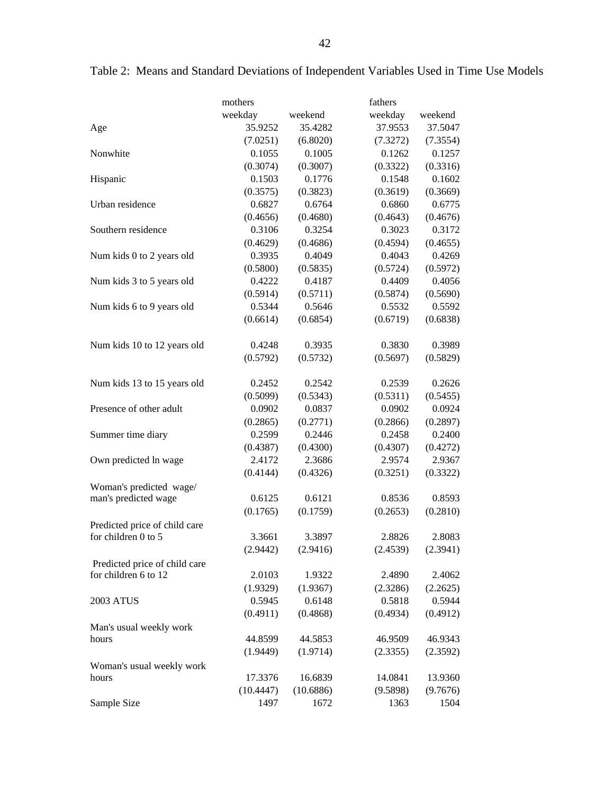|                               | mothers   |           | fathers  |          |
|-------------------------------|-----------|-----------|----------|----------|
|                               | weekday   | weekend   | weekday  | weekend  |
| Age                           | 35.9252   | 35.4282   | 37.9553  | 37.5047  |
|                               | (7.0251)  | (6.8020)  | (7.3272) | (7.3554) |
| Nonwhite                      | 0.1055    | 0.1005    | 0.1262   | 0.1257   |
|                               | (0.3074)  | (0.3007)  | (0.3322) | (0.3316) |
| Hispanic                      | 0.1503    | 0.1776    | 0.1548   | 0.1602   |
|                               | (0.3575)  | (0.3823)  | (0.3619) | (0.3669) |
| Urban residence               | 0.6827    | 0.6764    | 0.6860   | 0.6775   |
|                               | (0.4656)  | (0.4680)  | (0.4643) | (0.4676) |
| Southern residence            | 0.3106    | 0.3254    | 0.3023   | 0.3172   |
|                               | (0.4629)  | (0.4686)  | (0.4594) | (0.4655) |
| Num kids 0 to 2 years old     | 0.3935    | 0.4049    | 0.4043   | 0.4269   |
|                               | (0.5800)  | (0.5835)  | (0.5724) | (0.5972) |
| Num kids 3 to 5 years old     | 0.4222    | 0.4187    | 0.4409   | 0.4056   |
|                               | (0.5914)  | (0.5711)  | (0.5874) | (0.5690) |
| Num kids 6 to 9 years old     | 0.5344    | 0.5646    | 0.5532   | 0.5592   |
|                               | (0.6614)  | (0.6854)  | (0.6719) | (0.6838) |
|                               |           |           |          |          |
| Num kids 10 to 12 years old   | 0.4248    | 0.3935    | 0.3830   | 0.3989   |
|                               | (0.5792)  | (0.5732)  | (0.5697) | (0.5829) |
|                               |           |           |          |          |
| Num kids 13 to 15 years old   | 0.2452    | 0.2542    | 0.2539   | 0.2626   |
|                               | (0.5099)  | (0.5343)  | (0.5311) | (0.5455) |
| Presence of other adult       | 0.0902    | 0.0837    | 0.0902   | 0.0924   |
|                               | (0.2865)  | (0.2771)  | (0.2866) | (0.2897) |
| Summer time diary             | 0.2599    | 0.2446    | 0.2458   | 0.2400   |
|                               | (0.4387)  | (0.4300)  | (0.4307) | (0.4272) |
| Own predicted ln wage         | 2.4172    | 2.3686    | 2.9574   | 2.9367   |
|                               | (0.4144)  | (0.4326)  | (0.3251) | (0.3322) |
| Woman's predicted wage/       |           |           |          |          |
| man's predicted wage          | 0.6125    | 0.6121    | 0.8536   | 0.8593   |
|                               | (0.1765)  | (0.1759)  | (0.2653) | (0.2810) |
| Predicted price of child care |           |           |          |          |
| for children 0 to 5           | 3.3661    | 3.3897    | 2.8826   | 2.8083   |
|                               | (2.9442)  | (2.9416)  | (2.4539) | (2.3941) |
| Predicted price of child care |           |           |          |          |
| for children 6 to 12          | 2.0103    | 1.9322    | 2.4890   | 2.4062   |
|                               | (1.9329)  | (1.9367)  | (2.3286) | (2.2625) |
| <b>2003 ATUS</b>              | 0.5945    | 0.6148    | 0.5818   | 0.5944   |
|                               | (0.4911)  | (0.4868)  | (0.4934) | (0.4912) |
| Man's usual weekly work       |           |           |          |          |
| hours                         | 44.8599   | 44.5853   | 46.9509  | 46.9343  |
|                               | (1.9449)  | (1.9714)  | (2.3355) | (2.3592) |
| Woman's usual weekly work     |           |           |          |          |
| hours                         | 17.3376   | 16.6839   | 14.0841  | 13.9360  |
|                               | (10.4447) | (10.6886) | (9.5898) | (9.7676) |
| Sample Size                   | 1497      | 1672      | 1363     | 1504     |
|                               |           |           |          |          |

Table 2: Means and Standard Deviations of Independent Variables Used in Time Use Models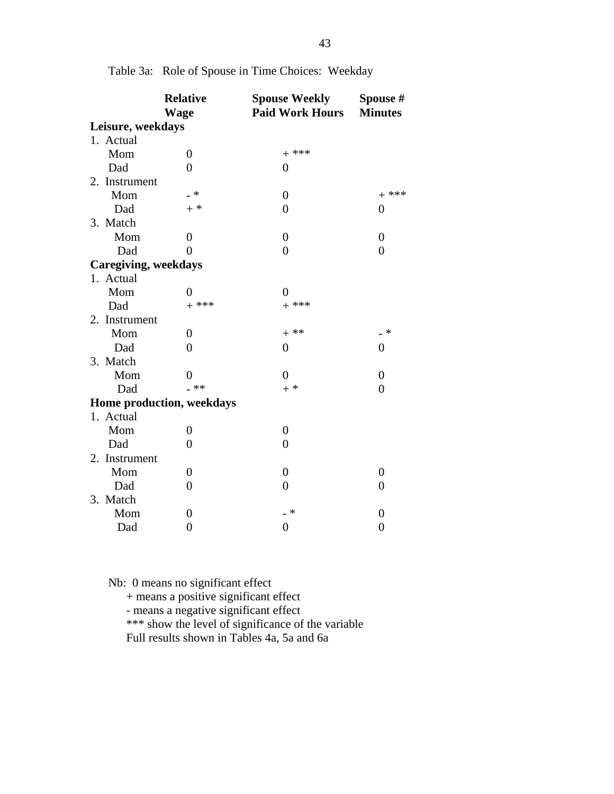|                             | <b>Relative</b>           | <b>Spouse Weekly</b>   | Spouse #         |
|-----------------------------|---------------------------|------------------------|------------------|
|                             | <b>Wage</b>               | <b>Paid Work Hours</b> | <b>Minutes</b>   |
| Leisure, weekdays           |                           |                        |                  |
| 1. Actual                   |                           |                        |                  |
| Mom                         | 0                         | $+$ ***                |                  |
| Dad                         | 0                         | 0                      |                  |
| 2. Instrument               |                           |                        |                  |
| Mom                         | $_{-}$ *                  | 0                      | $+$ ***          |
| Dad                         | $+$ *                     | $\overline{0}$         | $\boldsymbol{0}$ |
| 3. Match                    |                           |                        |                  |
| Mom                         | $\overline{0}$            | 0                      | $\overline{0}$   |
| Dad                         | $\theta$                  | $\overline{0}$         | $\theta$         |
| <b>Caregiving, weekdays</b> |                           |                        |                  |
| 1. Actual                   |                           |                        |                  |
| Mom                         | 0                         | $\overline{0}$         |                  |
| Dad                         | $+$ ***                   | $+$ ***                |                  |
| 2. Instrument               |                           |                        |                  |
| Mom                         | $\boldsymbol{0}$          | $+$ **                 | _ *              |
| Dad                         | $\theta$                  | 0                      | 0                |
| 3. Match                    |                           |                        |                  |
| Mom                         | 0                         | $\overline{0}$         | $\overline{0}$   |
| Dad                         | $- * *$                   | $+$ *                  | $\overline{0}$   |
|                             | Home production, weekdays |                        |                  |
| 1. Actual                   |                           |                        |                  |
| Mom                         | 0                         | 0                      |                  |
| Dad                         | $\theta$                  | $\overline{0}$         |                  |
| 2. Instrument               |                           |                        |                  |
| Mom                         | $\boldsymbol{0}$          | $\overline{0}$         | 0                |
| Dad                         | $\overline{0}$            | $\overline{0}$         | $\overline{0}$   |
| 3. Match                    |                           |                        |                  |
| Mom                         | 0                         | ∗                      | 0                |
| Dad                         | $\boldsymbol{0}$          | $\overline{0}$         | $\boldsymbol{0}$ |

Table 3a: Role of Spouse in Time Choices: Weekday

Nb: 0 means no significant effect

+ means a positive significant effect

- means a negative significant effect

\*\*\* show the level of significance of the variable

Full results shown in Tables 4a, 5a and 6a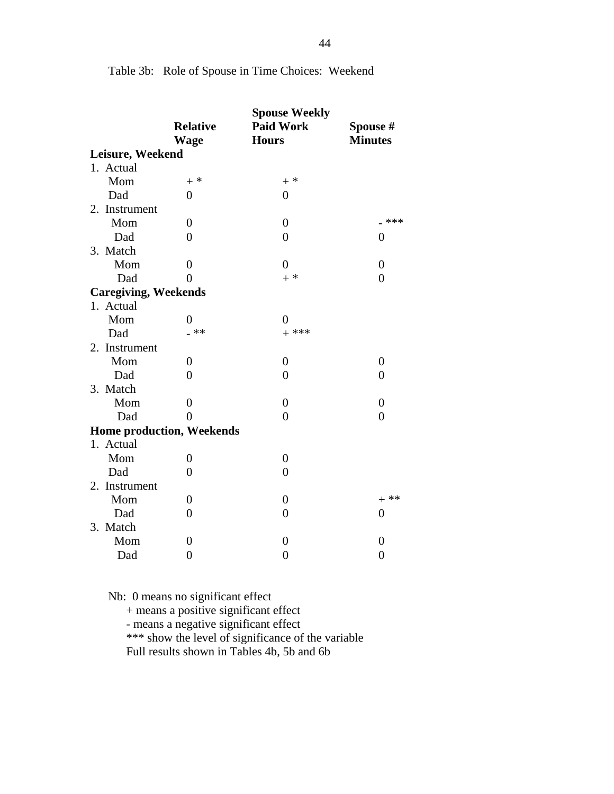|                                  | <b>Spouse Weekly</b> |                  |                  |  |  |
|----------------------------------|----------------------|------------------|------------------|--|--|
|                                  | <b>Relative</b>      | <b>Paid Work</b> | Spouse #         |  |  |
|                                  | <b>Wage</b>          | <b>Hours</b>     | <b>Minutes</b>   |  |  |
| Leisure, Weekend                 |                      |                  |                  |  |  |
| 1. Actual                        |                      |                  |                  |  |  |
| Mom                              | $+$ *                | $+$ *            |                  |  |  |
| Dad                              | $\boldsymbol{0}$     | $\boldsymbol{0}$ |                  |  |  |
| 2. Instrument                    |                      |                  |                  |  |  |
| Mom                              | $\overline{0}$       | $\overline{0}$   | $-$ ***          |  |  |
| Dad                              | $\theta$             | $\theta$         | $\overline{0}$   |  |  |
| 3. Match                         |                      |                  |                  |  |  |
| Mom                              | $\overline{0}$       | $\overline{0}$   | $\boldsymbol{0}$ |  |  |
| Dad                              | $\overline{0}$       | $+$ *            | $\overline{0}$   |  |  |
| <b>Caregiving, Weekends</b>      |                      |                  |                  |  |  |
| 1. Actual                        |                      |                  |                  |  |  |
| Mom                              | $\theta$             | 0                |                  |  |  |
| Dad                              | _ **                 | $+$ ***          |                  |  |  |
| 2. Instrument                    |                      |                  |                  |  |  |
| Mom                              | $\overline{0}$       | $\boldsymbol{0}$ | $\boldsymbol{0}$ |  |  |
| Dad                              | $\theta$             | $\overline{0}$   | $\overline{0}$   |  |  |
| 3. Match                         |                      |                  |                  |  |  |
| Mom                              | $\overline{0}$       | $\boldsymbol{0}$ | $\boldsymbol{0}$ |  |  |
| Dad                              | $\theta$             | $\overline{0}$   | $\overline{0}$   |  |  |
| <b>Home production, Weekends</b> |                      |                  |                  |  |  |
| 1. Actual                        |                      |                  |                  |  |  |
| Mom                              | 0                    | 0                |                  |  |  |
| Dad                              | $\overline{0}$       | $\overline{0}$   |                  |  |  |
| 2. Instrument                    |                      |                  |                  |  |  |
| Mom                              | $\boldsymbol{0}$     | $\boldsymbol{0}$ | $+$ **           |  |  |
| Dad                              | $\overline{0}$       | $\overline{0}$   | $\overline{0}$   |  |  |
| 3. Match                         |                      |                  |                  |  |  |
| Mom                              | $\boldsymbol{0}$     | 0                | $\boldsymbol{0}$ |  |  |
| Dad                              | $\overline{0}$       | $\overline{0}$   | $\overline{0}$   |  |  |
|                                  |                      |                  |                  |  |  |

Table 3b: Role of Spouse in Time Choices: Weekend

Nb: 0 means no significant effect

+ means a positive significant effect

- means a negative significant effect

\*\*\* show the level of significance of the variable

Full results shown in Tables 4b, 5b and 6b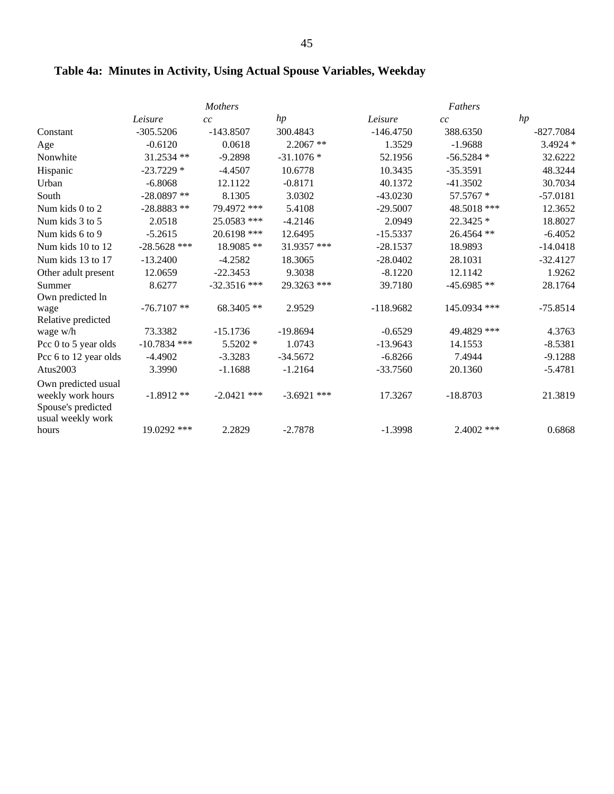|                                                                | <b>Mothers</b> |                |               | Fathers     |              |             |
|----------------------------------------------------------------|----------------|----------------|---------------|-------------|--------------|-------------|
|                                                                | Leisure        | cc             | hp            | Leisure     | cc           | hp          |
| Constant                                                       | $-305.5206$    | $-143.8507$    | 300.4843      | $-146.4750$ | 388.6350     | $-827.7084$ |
| Age                                                            | $-0.6120$      | 0.0618         | $2.2067**$    | 1.3529      | $-1.9688$    | 3.4924 *    |
| Nonwhite                                                       | 31.2534 **     | $-9.2898$      | $-31.1076*$   | 52.1956     | $-56.5284*$  | 32.6222     |
| Hispanic                                                       | $-23.7229*$    | $-4.4507$      | 10.6778       | 10.3435     | $-35.3591$   | 48.3244     |
| Urban                                                          | $-6.8068$      | 12.1122        | $-0.8171$     | 40.1372     | $-41.3502$   | 30.7034     |
| South                                                          | $-28.0897**$   | 8.1305         | 3.0302        | $-43.0230$  | 57.5767 *    | $-57.0181$  |
| Num kids 0 to 2                                                | $-28.8883**$   | 79.4972 ***    | 5.4108        | $-29.5007$  | 48.5018 ***  | 12.3652     |
| Num kids 3 to 5                                                | 2.0518         | 25.0583 ***    | $-4.2146$     | 2.0949      | 22.3425 *    | 18.8027     |
| Num kids 6 to 9                                                | $-5.2615$      | 20.6198 ***    | 12.6495       | $-15.5337$  | 26.4564 **   | $-6.4052$   |
| Num kids 10 to 12                                              | $-28.5628$ *** | 18.9085 **     | 31.9357 ***   | $-28.1537$  | 18.9893      | $-14.0418$  |
| Num kids 13 to 17                                              | $-13.2400$     | $-4.2582$      | 18.3065       | $-28.0402$  | 28.1031      | $-32.4127$  |
| Other adult present                                            | 12.0659        | $-22.3453$     | 9.3038        | $-8.1220$   | 12.1142      | 1.9262      |
| Summer                                                         | 8.6277         | $-32.3516$ *** | 29.3263 ***   | 39.7180     | $-45.6985**$ | 28.1764     |
| Own predicted ln                                               |                |                |               |             |              |             |
| wage                                                           | $-76.7107$ **  | 68.3405 **     | 2.9529        | $-118.9682$ | 145.0934 *** | $-75.8514$  |
| Relative predicted                                             |                |                |               |             |              |             |
| wage w/h                                                       | 73.3382        | $-15.1736$     | $-19.8694$    | $-0.6529$   | 49.4829 ***  | 4.3763      |
| Pcc 0 to 5 year olds                                           | $-10.7834$ *** | $5.5202*$      | 1.0743        | $-13.9643$  | 14.1553      | $-8.5381$   |
| Pcc 6 to 12 year olds                                          | $-4.4902$      | $-3.3283$      | $-34.5672$    | $-6.8266$   | 7.4944       | $-9.1288$   |
| Atus2003                                                       | 3.3990         | $-1.1688$      | $-1.2164$     | $-33.7560$  | 20.1360      | $-5.4781$   |
| Own predicted usual<br>weekly work hours<br>Spouse's predicted | $-1.8912**$    | $-2.0421$ ***  | $-3.6921$ *** | 17.3267     | $-18.8703$   | 21.3819     |
| usual weekly work<br>hours                                     | 19.0292 ***    | 2.2829         | $-2.7878$     | $-1.3998$   | $2.4002$ *** | 0.6868      |

### **Table 4a: Minutes in Activity, Using Actual Spouse Variables, Weekday**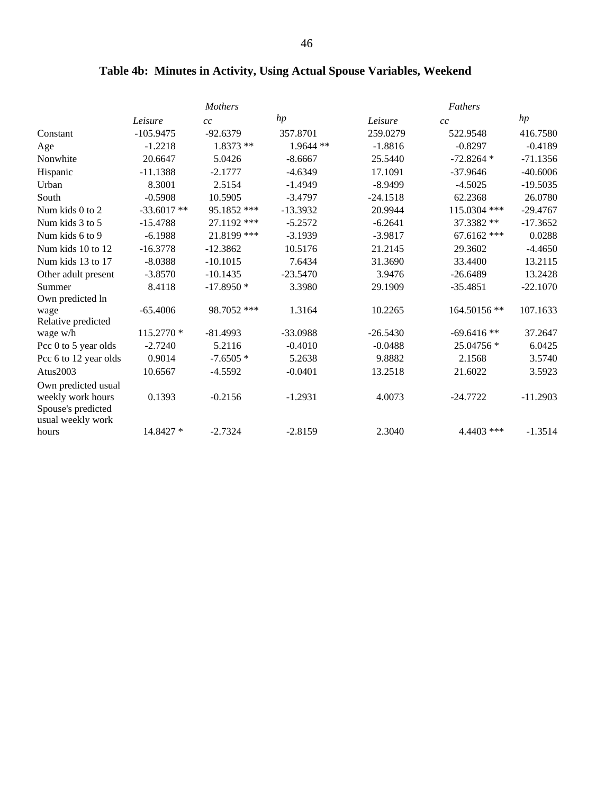|                                                                | <b>Mothers</b> |             |            | Fathers    |               |            |
|----------------------------------------------------------------|----------------|-------------|------------|------------|---------------|------------|
|                                                                | Leisure        | cc          | hp         | Leisure    | cc            | hp         |
| Constant                                                       | $-105.9475$    | $-92.6379$  | 357.8701   | 259.0279   | 522.9548      | 416.7580   |
| Age                                                            | $-1.2218$      | $1.8373**$  | 1.9644 **  | $-1.8816$  | $-0.8297$     | $-0.4189$  |
| Nonwhite                                                       | 20.6647        | 5.0426      | $-8.6667$  | 25.5440    | $-72.8264*$   | $-71.1356$ |
| Hispanic                                                       | $-11.1388$     | $-2.1777$   | $-4.6349$  | 17.1091    | $-37.9646$    | $-40.6006$ |
| Urban                                                          | 8.3001         | 2.5154      | $-1.4949$  | $-8.9499$  | $-4.5025$     | $-19.5035$ |
| South                                                          | $-0.5908$      | 10.5905     | $-3.4797$  | $-24.1518$ | 62.2368       | 26.0780    |
| Num kids 0 to 2                                                | $-33.6017**$   | 95.1852 *** | $-13.3932$ | 20.9944    | 115.0304 ***  | $-29.4767$ |
| Num kids 3 to 5                                                | $-15.4788$     | 27.1192 *** | $-5.2572$  | $-6.2641$  | 37.3382 **    | $-17.3652$ |
| Num kids 6 to 9                                                | $-6.1988$      | 21.8199 *** | $-3.1939$  | $-3.9817$  | $67.6162$ *** | 0.0288     |
| Num kids 10 to 12                                              | $-16.3778$     | $-12.3862$  | 10.5176    | 21.2145    | 29.3602       | $-4.4650$  |
| Num kids 13 to 17                                              | $-8.0388$      | $-10.1015$  | 7.6434     | 31.3690    | 33.4400       | 13.2115    |
| Other adult present                                            | $-3.8570$      | $-10.1435$  | $-23.5470$ | 3.9476     | $-26.6489$    | 13.2428    |
| Summer                                                         | 8.4118         | $-17.8950*$ | 3.3980     | 29.1909    | $-35.4851$    | $-22.1070$ |
| Own predicted ln                                               |                |             |            |            |               |            |
| wage                                                           | $-65.4006$     | 98.7052 *** | 1.3164     | 10.2265    | 164.50156 **  | 107.1633   |
| Relative predicted                                             |                |             |            |            |               |            |
| wage w/h                                                       | 115.2770 *     | $-81.4993$  | $-33.0988$ | $-26.5430$ | $-69.6416**$  | 37.2647    |
| Pcc 0 to 5 year olds                                           | $-2.7240$      | 5.2116      | $-0.4010$  | $-0.0488$  | 25.04756 *    | 6.0425     |
| Pcc 6 to 12 year olds                                          | 0.9014         | $-7.6505*$  | 5.2638     | 9.8882     | 2.1568        | 3.5740     |
| Atus2003                                                       | 10.6567        | $-4.5592$   | $-0.0401$  | 13.2518    | 21.6022       | 3.5923     |
| Own predicted usual<br>weekly work hours<br>Spouse's predicted | 0.1393         | $-0.2156$   | $-1.2931$  | 4.0073     | $-24.7722$    | $-11.2903$ |
| usual weekly work<br>hours                                     | 14.8427 *      | $-2.7324$   | $-2.8159$  | 2.3040     | 4.4403 ***    | $-1.3514$  |

### **Table 4b: Minutes in Activity, Using Actual Spouse Variables, Weekend**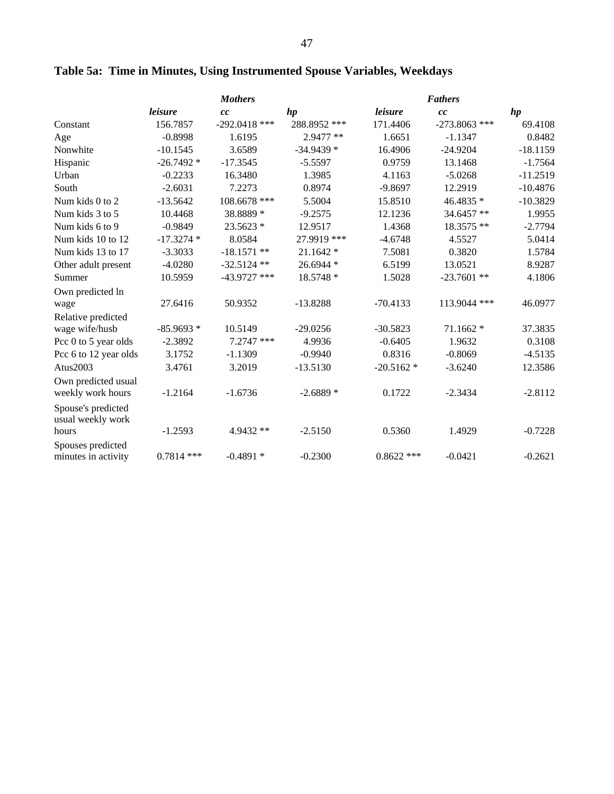|                                          | <b>Mothers</b> |                 |              | <b>Fathers</b> |                 |            |
|------------------------------------------|----------------|-----------------|--------------|----------------|-----------------|------------|
|                                          | leisure        | cc              | hp           | leisure        | cc              | hp         |
| Constant                                 | 156.7857       | $-292.0418$ *** | 288.8952 *** | 171.4406       | $-273.8063$ *** | 69.4108    |
| Age                                      | $-0.8998$      | 1.6195          | 2.9477 **    | 1.6651         | $-1.1347$       | 0.8482     |
| Nonwhite                                 | $-10.1545$     | 3.6589          | $-34.9439*$  | 16.4906        | $-24.9204$      | $-18.1159$ |
| Hispanic                                 | $-26.7492*$    | $-17.3545$      | $-5.5597$    | 0.9759         | 13.1468         | $-1.7564$  |
| Urban                                    | $-0.2233$      | 16.3480         | 1.3985       | 4.1163         | $-5.0268$       | $-11.2519$ |
| South                                    | $-2.6031$      | 7.2273          | 0.8974       | $-9.8697$      | 12.2919         | $-10.4876$ |
| Num kids 0 to 2                          | $-13.5642$     | 108.6678 ***    | 5.5004       | 15.8510        | 46.4835 *       | $-10.3829$ |
| Num kids 3 to 5                          | 10.4468        | 38.8889 *       | $-9.2575$    | 12.1236        | 34.6457 **      | 1.9955     |
| Num kids 6 to 9                          | $-0.9849$      | $23.5623*$      | 12.9517      | 1.4368         | 18.3575 **      | $-2.7794$  |
| Num kids 10 to 12                        | $-17.3274*$    | 8.0584          | 27.9919 ***  | $-4.6748$      | 4.5527          | 5.0414     |
| Num kids 13 to 17                        | $-3.3033$      | $-18.1571$ **   | 21.1642 *    | 7.5081         | 0.3820          | 1.5784     |
| Other adult present                      | $-4.0280$      | $-32.5124$ **   | 26.6944 *    | 6.5199         | 13.0521         | 8.9287     |
| Summer                                   | 10.5959        | $-43.9727$ ***  | 18.5748 *    | 1.5028         | $-23.7601$ **   | 4.1806     |
| Own predicted ln                         |                |                 |              |                |                 |            |
| wage                                     | 27.6416        | 50.9352         | $-13.8288$   | $-70.4133$     | 113.9044 ***    | 46.0977    |
| Relative predicted                       |                |                 |              |                |                 |            |
| wage wife/husb                           | $-85.9693*$    | 10.5149         | $-29.0256$   | $-30.5823$     | $71.1662*$      | 37.3835    |
| Pcc 0 to 5 year olds                     | $-2.3892$      | $7.2747$ ***    | 4.9936       | $-0.6405$      | 1.9632          | 0.3108     |
| Pcc 6 to 12 year olds                    | 3.1752         | $-1.1309$       | $-0.9940$    | 0.8316         | $-0.8069$       | $-4.5135$  |
| Atus2003                                 | 3.4761         | 3.2019          | $-13.5130$   | $-20.5162*$    | $-3.6240$       | 12.3586    |
| Own predicted usual                      |                |                 |              |                |                 |            |
| weekly work hours                        | $-1.2164$      | $-1.6736$       | $-2.6889*$   | 0.1722         | $-2.3434$       | $-2.8112$  |
| Spouse's predicted<br>usual weekly work  |                |                 |              |                |                 |            |
| hours                                    | $-1.2593$      | 4.9432 **       | $-2.5150$    | 0.5360         | 1.4929          | $-0.7228$  |
| Spouses predicted<br>minutes in activity | $0.7814$ ***   | $-0.4891*$      | $-0.2300$    | $0.8622$ ***   | $-0.0421$       | $-0.2621$  |

### **Table 5a: Time in Minutes, Using Instrumented Spouse Variables, Weekdays**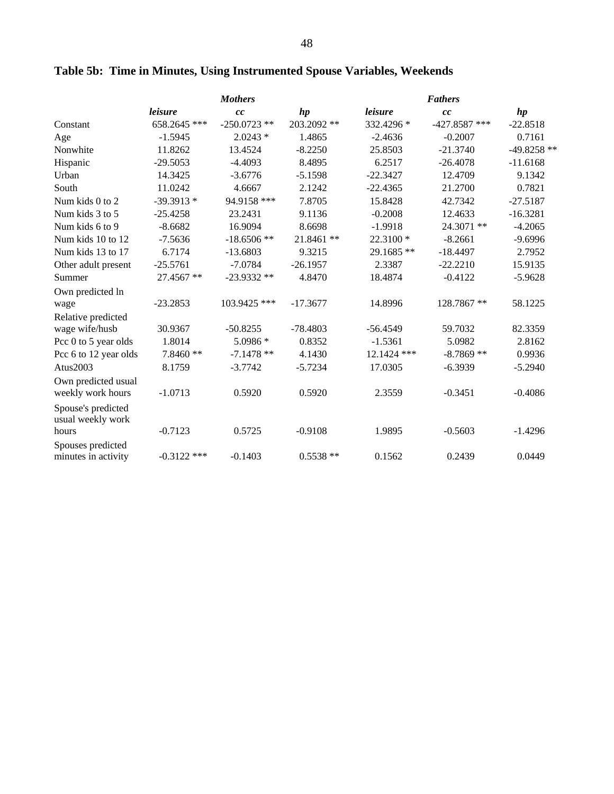|                                          | <b>Mothers</b> |                |             | <b>Fathers</b> |                 |             |
|------------------------------------------|----------------|----------------|-------------|----------------|-----------------|-------------|
|                                          | leisure        | cc             | hp          | leisure        | cc              | hp          |
| Constant                                 | 658.2645 ***   | $-250.0723$ ** | 203.2092 ** | 332.4296 *     | $-427.8587$ *** | $-22.8518$  |
| Age                                      | $-1.5945$      | $2.0243*$      | 1.4865      | $-2.4636$      | $-0.2007$       | 0.7161      |
| Nonwhite                                 | 11.8262        | 13.4524        | $-8.2250$   | 25.8503        | $-21.3740$      | -49.8258 ** |
| Hispanic                                 | $-29.5053$     | $-4.4093$      | 8.4895      | 6.2517         | $-26.4078$      | $-11.6168$  |
| Urban                                    | 14.3425        | $-3.6776$      | $-5.1598$   | $-22.3427$     | 12.4709         | 9.1342      |
| South                                    | 11.0242        | 4.6667         | 2.1242      | $-22.4365$     | 21.2700         | 0.7821      |
| Num kids 0 to 2                          | $-39.3913*$    | 94.9158 ***    | 7.8705      | 15.8428        | 42.7342         | $-27.5187$  |
| Num kids 3 to 5                          | $-25.4258$     | 23.2431        | 9.1136      | $-0.2008$      | 12.4633         | $-16.3281$  |
| Num kids 6 to 9                          | $-8.6682$      | 16.9094        | 8.6698      | $-1.9918$      | 24.3071 **      | $-4.2065$   |
| Num kids 10 to 12                        | $-7.5636$      | $-18.6506$ **  | 21.8461 **  | 22.3100 *      | $-8.2661$       | $-9.6996$   |
| Num kids 13 to 17                        | 6.7174         | $-13.6803$     | 9.3215      | 29.1685 **     | $-18.4497$      | 2.7952      |
| Other adult present                      | $-25.5761$     | $-7.0784$      | $-26.1957$  | 2.3387         | $-22.2210$      | 15.9135     |
| Summer                                   | 27.4567 **     | $-23.9332**$   | 4.8470      | 18.4874        | $-0.4122$       | $-5.9628$   |
| Own predicted ln                         |                |                |             |                |                 |             |
| wage                                     | $-23.2853$     | 103.9425 ***   | $-17.3677$  | 14.8996        | 128.7867 **     | 58.1225     |
| Relative predicted                       |                |                |             |                |                 |             |
| wage wife/husb                           | 30.9367        | $-50.8255$     | $-78.4803$  | $-56.4549$     | 59.7032         | 82.3359     |
| Pcc 0 to 5 year olds                     | 1.8014         | 5.0986 *       | 0.8352      | $-1.5361$      | 5.0982          | 2.8162      |
| Pcc 6 to 12 year olds                    | 7.8460 **      | $-7.1478**$    | 4.1430      | 12.1424 ***    | $-8.7869**$     | 0.9936      |
| Atus2003                                 | 8.1759         | $-3.7742$      | $-5.7234$   | 17.0305        | $-6.3939$       | $-5.2940$   |
| Own predicted usual<br>weekly work hours | $-1.0713$      | 0.5920         | 0.5920      | 2.3559         | $-0.3451$       | $-0.4086$   |
| Spouse's predicted<br>usual weekly work  |                |                |             |                |                 |             |
| hours                                    | $-0.7123$      | 0.5725         | $-0.9108$   | 1.9895         | $-0.5603$       | $-1.4296$   |
| Spouses predicted<br>minutes in activity | $-0.3122$ ***  | $-0.1403$      | $0.5538**$  | 0.1562         | 0.2439          | 0.0449      |

### **Table 5b: Time in Minutes, Using Instrumented Spouse Variables, Weekends**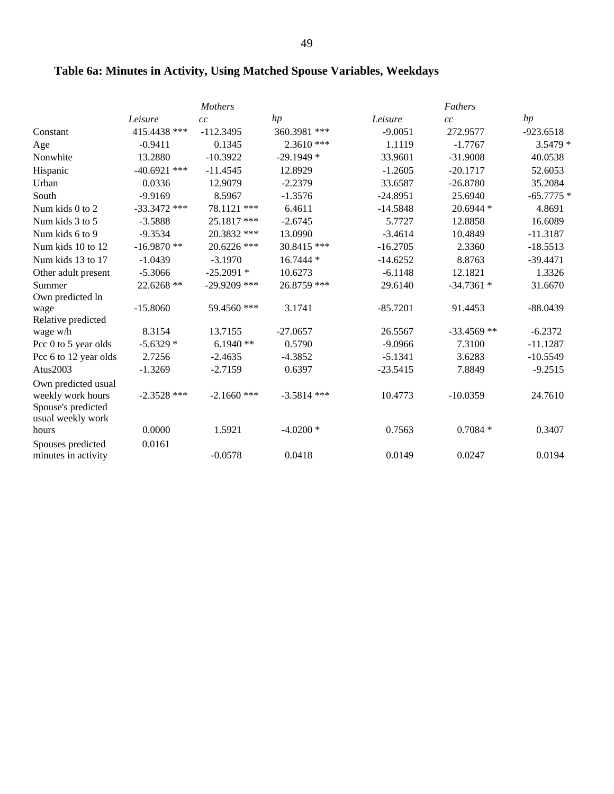### **Table 6a: Minutes in Activity, Using Matched Spouse Variables, Weekdays**

|                       | <b>Mothers</b> |                |               | Fathers    |               |             |
|-----------------------|----------------|----------------|---------------|------------|---------------|-------------|
|                       | Leisure        | cc             | hp            | Leisure    | cc            | hp          |
| Constant              | 415.4438 ***   | $-112.3495$    | 360.3981 ***  | $-9.0051$  | 272.9577      | $-923.6518$ |
| Age                   | $-0.9411$      | 0.1345         | 2.3610 ***    | 1.1119     | $-1.7767$     | $3.5479*$   |
| Nonwhite              | 13.2880        | $-10.3922$     | $-29.1949*$   | 33.9601    | $-31.9008$    | 40.0538     |
| Hispanic              | $-40.6921$ *** | $-11.4545$     | 12.8929       | $-1.2605$  | $-20.1717$    | 52.6053     |
| Urban                 | 0.0336         | 12.9079        | $-2.2379$     | 33.6587    | $-26.8780$    | 35.2084     |
| South                 | $-9.9169$      | 8.5967         | $-1.3576$     | $-24.8951$ | 25.6940       | $-65.7775*$ |
| Num kids 0 to 2       | $-33.3472$ *** | 78.1121 ***    | 6.4611        | $-14.5848$ | 20.6944 *     | 4.8691      |
| Num kids 3 to 5       | $-3.5888$      | 25.1817 ***    | $-2.6745$     | 5.7727     | 12.8858       | 16.6089     |
| Num kids 6 to 9       | $-9.3534$      | 20.3832 ***    | 13.0990       | $-3.4614$  | 10.4849       | $-11.3187$  |
| Num kids 10 to 12     | $-16.9870**$   | 20.6226 ***    | 30.8415 ***   | $-16.2705$ | 2.3360        | $-18.5513$  |
| Num kids 13 to 17     | $-1.0439$      | $-3.1970$      | 16.7444 *     | $-14.6252$ | 8.8763        | $-39.4471$  |
| Other adult present   | $-5.3066$      | $-25.2091*$    | 10.6273       | $-6.1148$  | 12.1821       | 1.3326      |
| Summer                | 22.6268 **     | $-29.9209$ *** | 26.8759 ***   | 29.6140    | $-34.7361*$   | 31.6670     |
| Own predicted ln      |                |                |               |            |               |             |
| wage                  | $-15.8060$     | 59.4560 ***    | 3.1741        | $-85.7201$ | 91.4453       | $-88.0439$  |
| Relative predicted    |                |                |               |            |               |             |
| wage w/h              | 8.3154         | 13.7155        | $-27.0657$    | 26.5567    | $-33.4569$ ** | $-6.2372$   |
| Pcc 0 to 5 year olds  | $-5.6329*$     | $6.1940**$     | 0.5790        | $-9.0966$  | 7.3100        | $-11.1287$  |
| Pcc 6 to 12 year olds | 2.7256         | $-2.4635$      | $-4.3852$     | $-5.1341$  | 3.6283        | $-10.5549$  |
| Atus2003              | $-1.3269$      | $-2.7159$      | 0.6397        | $-23.5415$ | 7.8849        | $-9.2515$   |
| Own predicted usual   |                |                |               |            |               |             |
| weekly work hours     | $-2.3528$ ***  | $-2.1660$ ***  | $-3.5814$ *** | 10.4773    | $-10.0359$    | 24.7610     |
| Spouse's predicted    |                |                |               |            |               |             |
| usual weekly work     |                |                |               |            |               |             |
| hours                 | 0.0000         | 1.5921         | $-4.0200*$    | 0.7563     | $0.7084*$     | 0.3407      |
| Spouses predicted     | 0.0161         |                |               |            |               |             |
| minutes in activity   |                | $-0.0578$      | 0.0418        | 0.0149     | 0.0247        | 0.0194      |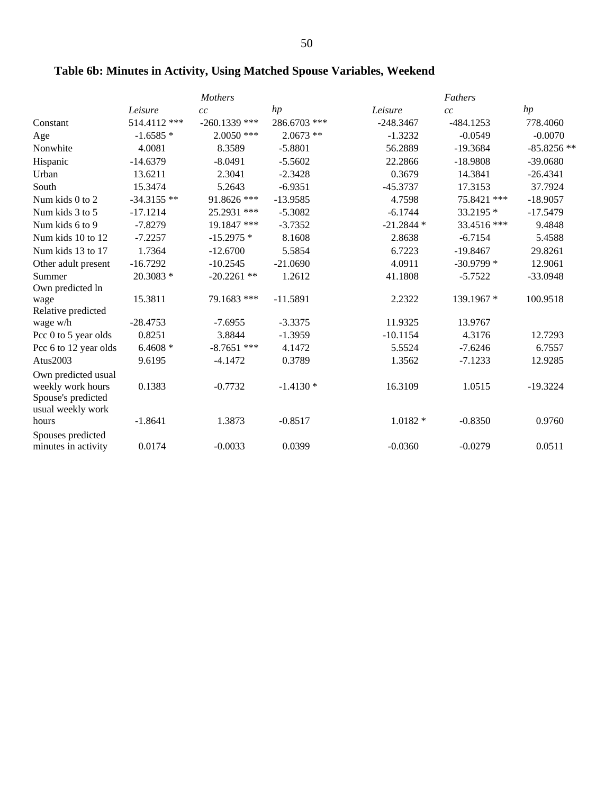|                       | <b>Mothers</b> |                 |              | Fathers     |             |               |
|-----------------------|----------------|-----------------|--------------|-------------|-------------|---------------|
|                       | Leisure        | cc              | hp           | Leisure     | cc          | hp            |
| Constant              | 514.4112 ***   | $-260.1339$ *** | 286.6703 *** | $-248.3467$ | $-484.1253$ | 778.4060      |
| Age                   | $-1.6585*$     | $2.0050$ ***    | $2.0673**$   | $-1.3232$   | $-0.0549$   | $-0.0070$     |
| Nonwhite              | 4.0081         | 8.3589          | $-5.8801$    | 56.2889     | $-19.3684$  | $-85.8256$ ** |
| Hispanic              | $-14.6379$     | $-8.0491$       | $-5.5602$    | 22.2866     | $-18.9808$  | $-39.0680$    |
| Urban                 | 13.6211        | 2.3041          | $-2.3428$    | 0.3679      | 14.3841     | $-26.4341$    |
| South                 | 15.3474        | 5.2643          | $-6.9351$    | $-45.3737$  | 17.3153     | 37.7924       |
| Num kids 0 to 2       | $-34.3155$ **  | 91.8626 ***     | $-13.9585$   | 4.7598      | 75.8421 *** | $-18.9057$    |
| Num kids 3 to 5       | $-17.1214$     | 25.2931 ***     | $-5.3082$    | $-6.1744$   | 33.2195 *   | $-17.5479$    |
| Num kids 6 to 9       | $-7.8279$      | 19.1847 ***     | $-3.7352$    | $-21.2844*$ | 33.4516 *** | 9.4848        |
| Num kids 10 to 12     | $-7.2257$      | $-15.2975*$     | 8.1608       | 2.8638      | $-6.7154$   | 5.4588        |
| Num kids 13 to 17     | 1.7364         | $-12.6700$      | 5.5854       | 6.7223      | $-19.8467$  | 29.8261       |
| Other adult present   | $-16.7292$     | $-10.2545$      | $-21.0690$   | 4.0911      | $-30.9799*$ | 12.9061       |
| Summer                | $20.3083*$     | $-20.2261$ **   | 1.2612       | 41.1808     | $-5.7522$   | $-33.0948$    |
| Own predicted ln      |                |                 |              |             |             |               |
| wage                  | 15.3811        | 79.1683 ***     | $-11.5891$   | 2.2322      | 139.1967 *  | 100.9518      |
| Relative predicted    |                |                 |              |             |             |               |
| wage w/h              | $-28.4753$     | $-7.6955$       | $-3.3375$    | 11.9325     | 13.9767     |               |
| Pcc 0 to 5 year olds  | 0.8251         | 3.8844          | $-1.3959$    | $-10.1154$  | 4.3176      | 12.7293       |
| Pcc 6 to 12 year olds | $6.4608*$      | $-8.7651$ ***   | 4.1472       | 5.5524      | $-7.6246$   | 6.7557        |
| Atus2003              | 9.6195         | $-4.1472$       | 0.3789       | 1.3562      | $-7.1233$   | 12.9285       |
| Own predicted usual   |                |                 |              |             |             |               |
| weekly work hours     | 0.1383         | $-0.7732$       | $-1.4130*$   | 16.3109     | 1.0515      | $-19.3224$    |
| Spouse's predicted    |                |                 |              |             |             |               |
| usual weekly work     |                |                 |              |             |             |               |
| hours                 | $-1.8641$      | 1.3873          | $-0.8517$    | $1.0182*$   | $-0.8350$   | 0.9760        |
| Spouses predicted     |                |                 |              |             |             |               |
| minutes in activity   | 0.0174         | $-0.0033$       | 0.0399       | $-0.0360$   | $-0.0279$   | 0.0511        |

### **Table 6b: Minutes in Activity, Using Matched Spouse Variables, Weekend**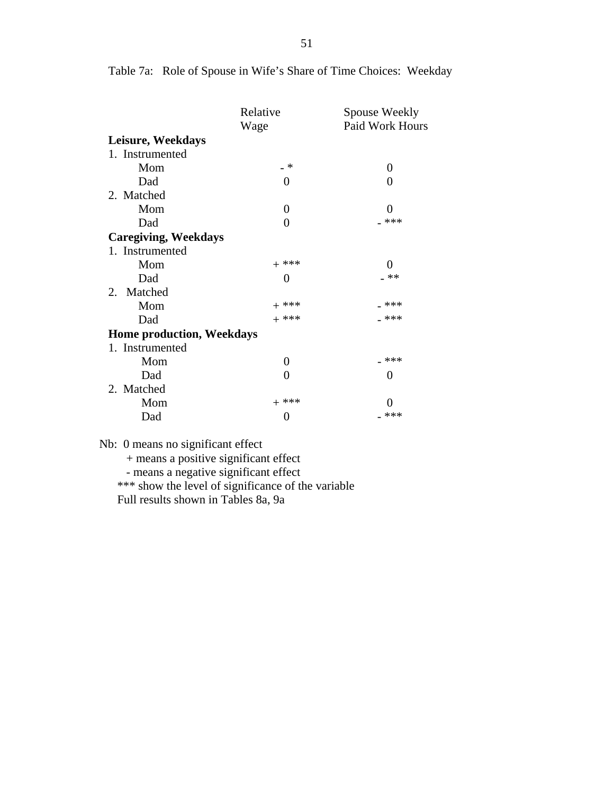|                                  | Relative       | Spouse Weekly     |  |
|----------------------------------|----------------|-------------------|--|
|                                  | Wage           | Paid Work Hours   |  |
| Leisure, Weekdays                |                |                   |  |
| 1. Instrumented                  |                |                   |  |
| Mom                              | _ *            | $\Omega$          |  |
| Dad                              | 0              | 0                 |  |
| 2. Matched                       |                |                   |  |
| Mom                              | $\overline{0}$ | 0                 |  |
| Dad                              | 0              | <b>***</b>        |  |
| <b>Caregiving, Weekdays</b>      |                |                   |  |
| 1. Instrumented                  |                |                   |  |
| Mom                              | $+$ ***        | $\mathbf{\Omega}$ |  |
| Dad                              | 0              | **                |  |
| Matched<br>2.                    |                |                   |  |
| Mom                              | $+$ ***        | ***               |  |
| Dad                              | $+$ ***        | ***               |  |
| <b>Home production, Weekdays</b> |                |                   |  |
| 1. Instrumented                  |                |                   |  |
| Mom                              | 0              | $***$             |  |
| Dad                              | 0              | 0                 |  |
| 2. Matched                       |                |                   |  |
| Mom                              | $+$ ***        | 0                 |  |
| Dad                              | 0              | _ ***             |  |

Table 7a: Role of Spouse in Wife's Share of Time Choices: Weekday

Nb: 0 means no significant effect

+ means a positive significant effect

- means a negative significant effect

\*\*\* show the level of significance of the variable

Full results shown in Tables 8a, 9a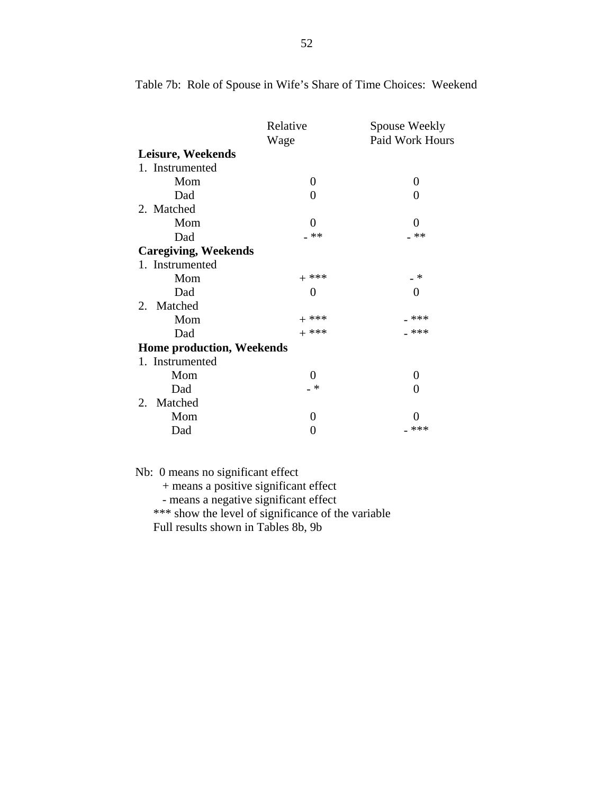|                                  | Relative<br>Wage  | Spouse Weekly<br>Paid Work Hours |
|----------------------------------|-------------------|----------------------------------|
| Leisure, Weekends                |                   |                                  |
| 1. Instrumented                  |                   |                                  |
| Mom                              | $\Omega$          | 0                                |
| Dad                              | 0                 | 0                                |
| 2. Matched                       |                   |                                  |
| Mom                              | 0                 | $_{0}$                           |
| Dad                              | _ **              | **                               |
| <b>Caregiving, Weekends</b>      |                   |                                  |
| 1. Instrumented                  |                   |                                  |
| Mom                              | $+$ ***           | $\rightarrow$                    |
| Dad                              | 0                 | $\mathbf{0}$                     |
| 2. Matched                       |                   |                                  |
| Mom                              | $+$ ***           | ***                              |
| Dad                              | $+$ ***           | ***                              |
| <b>Home production, Weekends</b> |                   |                                  |
| 1. Instrumented                  |                   |                                  |
| Mom                              | $\mathbf{\Omega}$ | 0                                |
| Dad                              | - *               | 0                                |
| Matched<br>2.                    |                   |                                  |
| Mom                              | 0                 |                                  |
| Dad                              | 0                 | ***                              |
|                                  |                   |                                  |

Table 7b: Role of Spouse in Wife's Share of Time Choices: Weekend

Nb: 0 means no significant effect

+ means a positive significant effect

- means a negative significant effect

\*\*\* show the level of significance of the variable

Full results shown in Tables 8b, 9b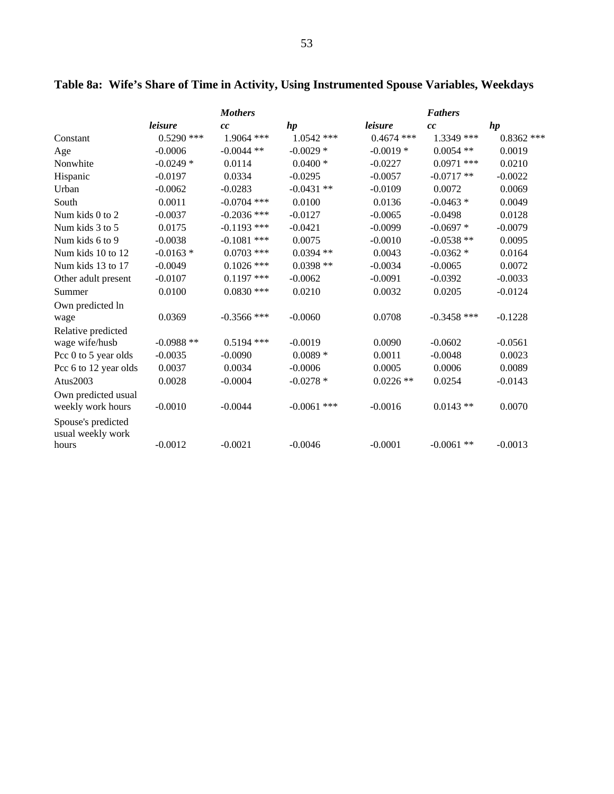|                                          | <b>Mothers</b> |               |               | <b>Fathers</b> |               |              |  |
|------------------------------------------|----------------|---------------|---------------|----------------|---------------|--------------|--|
|                                          | leisure        | cc            | hp            | leisure        | cc            | hp           |  |
| Constant                                 | $0.5290$ ***   | 1.9064 ***    | $1.0542$ ***  | $0.4674$ ***   | 1.3349 ***    | $0.8362$ *** |  |
| Age                                      | $-0.0006$      | $-0.0044$ **  | $-0.0029*$    | $-0.0019*$     | $0.0054$ **   | 0.0019       |  |
| Nonwhite                                 | $-0.0249*$     | 0.0114        | $0.0400*$     | $-0.0227$      | $0.0971$ ***  | 0.0210       |  |
| Hispanic                                 | $-0.0197$      | 0.0334        | $-0.0295$     | $-0.0057$      | $-0.0717**$   | $-0.0022$    |  |
| Urban                                    | $-0.0062$      | $-0.0283$     | $-0.0431$ **  | $-0.0109$      | 0.0072        | 0.0069       |  |
| South                                    | 0.0011         | $-0.0704$ *** | 0.0100        | 0.0136         | $-0.0463*$    | 0.0049       |  |
| Num kids 0 to 2                          | $-0.0037$      | $-0.2036$ *** | $-0.0127$     | $-0.0065$      | $-0.0498$     | 0.0128       |  |
| Num kids 3 to 5                          | 0.0175         | $-0.1193$ *** | $-0.0421$     | $-0.0099$      | $-0.0697*$    | $-0.0079$    |  |
| Num kids 6 to 9                          | $-0.0038$      | $-0.1081$ *** | 0.0075        | $-0.0010$      | $-0.0538**$   | 0.0095       |  |
| Num kids 10 to 12                        | $-0.0163*$     | $0.0703$ ***  | $0.0394**$    | 0.0043         | $-0.0362*$    | 0.0164       |  |
| Num kids 13 to 17                        | $-0.0049$      | $0.1026$ ***  | $0.0398**$    | $-0.0034$      | $-0.0065$     | 0.0072       |  |
| Other adult present                      | $-0.0107$      | $0.1197$ ***  | $-0.0062$     | $-0.0091$      | $-0.0392$     | $-0.0033$    |  |
| Summer                                   | 0.0100         | $0.0830$ ***  | 0.0210        | 0.0032         | 0.0205        | $-0.0124$    |  |
| Own predicted ln                         |                |               |               |                |               |              |  |
| wage                                     | 0.0369         | $-0.3566$ *** | $-0.0060$     | 0.0708         | $-0.3458$ *** | $-0.1228$    |  |
| Relative predicted                       |                |               |               |                |               |              |  |
| wage wife/husb                           | $-0.0988**$    | $0.5194$ ***  | $-0.0019$     | 0.0090         | $-0.0602$     | $-0.0561$    |  |
| Pcc 0 to 5 year olds                     | $-0.0035$      | $-0.0090$     | $0.0089*$     | 0.0011         | $-0.0048$     | 0.0023       |  |
| Pcc 6 to 12 year olds                    | 0.0037         | 0.0034        | $-0.0006$     | 0.0005         | 0.0006        | 0.0089       |  |
| Atus2003                                 | 0.0028         | $-0.0004$     | $-0.0278*$    | $0.0226$ **    | 0.0254        | $-0.0143$    |  |
| Own predicted usual<br>weekly work hours | $-0.0010$      | $-0.0044$     | $-0.0061$ *** | $-0.0016$      | $0.0143**$    | 0.0070       |  |
| Spouse's predicted<br>usual weekly work  |                |               |               |                |               |              |  |
| hours                                    | $-0.0012$      | $-0.0021$     | $-0.0046$     | $-0.0001$      | $-0.0061$ **  | $-0.0013$    |  |

# **Table 8a: Wife's Share of Time in Activity, Using Instrumented Spouse Variables, Weekdays**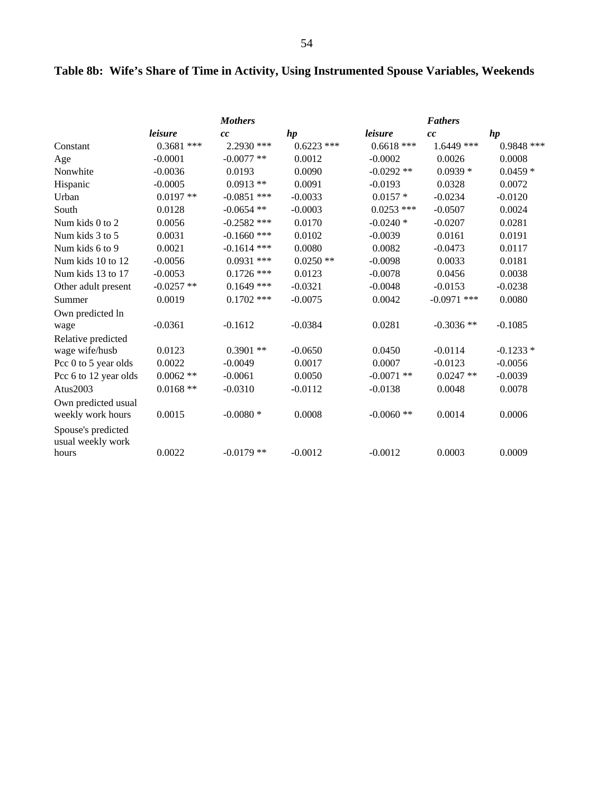|                                         | <b>Mothers</b> |               |              | <b>Fathers</b> |               |              |
|-----------------------------------------|----------------|---------------|--------------|----------------|---------------|--------------|
|                                         | leisure        | cc            | hp           | leisure        | cc            | hp           |
| Constant                                | $0.3681$ ***   | 2.2930 ***    | $0.6223$ *** | $0.6618$ ***   | 1.6449 ***    | $0.9848$ *** |
| Age                                     | $-0.0001$      | $-0.0077$ **  | 0.0012       | $-0.0002$      | 0.0026        | 0.0008       |
| Nonwhite                                | $-0.0036$      | 0.0193        | 0.0090       | $-0.0292**$    | $0.0939*$     | $0.0459*$    |
| Hispanic                                | $-0.0005$      | $0.0913**$    | 0.0091       | $-0.0193$      | 0.0328        | 0.0072       |
| Urban                                   | $0.0197**$     | $-0.0851$ *** | $-0.0033$    | $0.0157 *$     | $-0.0234$     | $-0.0120$    |
| South                                   | 0.0128         | $-0.0654$ **  | $-0.0003$    | $0.0253$ ***   | $-0.0507$     | 0.0024       |
| Num kids 0 to 2                         | 0.0056         | $-0.2582$ *** | 0.0170       | $-0.0240*$     | $-0.0207$     | 0.0281       |
| Num kids 3 to 5                         | 0.0031         | $-0.1660$ *** | 0.0102       | $-0.0039$      | 0.0161        | 0.0191       |
| Num kids 6 to 9                         | 0.0021         | $-0.1614$ *** | 0.0080       | 0.0082         | $-0.0473$     | 0.0117       |
| Num kids 10 to 12                       | $-0.0056$      | $0.0931$ ***  | $0.0250**$   | $-0.0098$      | 0.0033        | 0.0181       |
| Num kids 13 to 17                       | $-0.0053$      | $0.1726$ ***  | 0.0123       | $-0.0078$      | 0.0456        | 0.0038       |
| Other adult present                     | $-0.0257$ **   | $0.1649$ ***  | $-0.0321$    | $-0.0048$      | $-0.0153$     | $-0.0238$    |
| Summer                                  | 0.0019         | $0.1702$ ***  | $-0.0075$    | 0.0042         | $-0.0971$ *** | 0.0080       |
| Own predicted ln                        |                |               |              |                |               |              |
| wage                                    | $-0.0361$      | $-0.1612$     | $-0.0384$    | 0.0281         | $-0.3036**$   | $-0.1085$    |
| Relative predicted                      |                |               |              |                |               |              |
| wage wife/husb                          | 0.0123         | $0.3901**$    | $-0.0650$    | 0.0450         | $-0.0114$     | $-0.1233*$   |
| Pcc 0 to 5 year olds                    | 0.0022         | $-0.0049$     | 0.0017       | 0.0007         | $-0.0123$     | $-0.0056$    |
| Pcc 6 to 12 year olds                   | $0.0062**$     | $-0.0061$     | 0.0050       | $-0.0071$ **   | $0.0247**$    | $-0.0039$    |
| Atus2003                                | $0.0168**$     | $-0.0310$     | $-0.0112$    | $-0.0138$      | 0.0048        | 0.0078       |
| Own predicted usual                     |                |               |              |                |               |              |
| weekly work hours                       | 0.0015         | $-0.0080*$    | 0.0008       | $-0.0060$ **   | 0.0014        | 0.0006       |
| Spouse's predicted<br>usual weekly work |                |               |              |                |               |              |
| hours                                   | 0.0022         | $-0.0179$ **  | $-0.0012$    | $-0.0012$      | 0.0003        | 0.0009       |

### **Table 8b: Wife's Share of Time in Activity, Using Instrumented Spouse Variables, Weekends**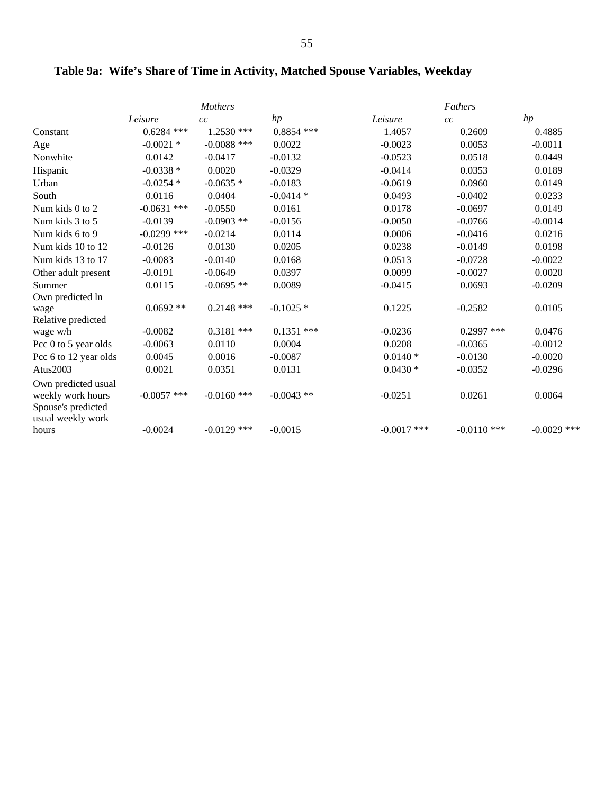|                                                                                     | <b>Mothers</b> |               |              | Fathers       |               |               |  |
|-------------------------------------------------------------------------------------|----------------|---------------|--------------|---------------|---------------|---------------|--|
|                                                                                     | Leisure        | cc            | hp           | Leisure       | cc            | hp            |  |
| Constant                                                                            | $0.6284$ ***   | 1.2530 ***    | $0.8854$ *** | 1.4057        | 0.2609        | 0.4885        |  |
| Age                                                                                 | $-0.0021$ *    | $-0.0088$ *** | 0.0022       | $-0.0023$     | 0.0053        | $-0.0011$     |  |
| Nonwhite                                                                            | 0.0142         | $-0.0417$     | $-0.0132$    | $-0.0523$     | 0.0518        | 0.0449        |  |
| Hispanic                                                                            | $-0.0338*$     | 0.0020        | $-0.0329$    | $-0.0414$     | 0.0353        | 0.0189        |  |
| Urban                                                                               | $-0.0254$ *    | $-0.0635*$    | $-0.0183$    | $-0.0619$     | 0.0960        | 0.0149        |  |
| South                                                                               | 0.0116         | 0.0404        | $-0.0414*$   | 0.0493        | $-0.0402$     | 0.0233        |  |
| Num kids 0 to 2                                                                     | $-0.0631$ ***  | $-0.0550$     | 0.0161       | 0.0178        | $-0.0697$     | 0.0149        |  |
| Num kids 3 to 5                                                                     | $-0.0139$      | $-0.0903$ **  | $-0.0156$    | $-0.0050$     | $-0.0766$     | $-0.0014$     |  |
| Num kids 6 to 9                                                                     | $-0.0299$ ***  | $-0.0214$     | 0.0114       | 0.0006        | $-0.0416$     | 0.0216        |  |
| Num kids 10 to 12                                                                   | $-0.0126$      | 0.0130        | 0.0205       | 0.0238        | $-0.0149$     | 0.0198        |  |
| Num kids 13 to 17                                                                   | $-0.0083$      | $-0.0140$     | 0.0168       | 0.0513        | $-0.0728$     | $-0.0022$     |  |
| Other adult present                                                                 | $-0.0191$      | $-0.0649$     | 0.0397       | 0.0099        | $-0.0027$     | 0.0020        |  |
| Summer                                                                              | 0.0115         | $-0.0695$ **  | 0.0089       | $-0.0415$     | 0.0693        | $-0.0209$     |  |
| Own predicted ln                                                                    |                |               |              |               |               |               |  |
| wage                                                                                | $0.0692**$     | $0.2148$ ***  | $-0.1025*$   | 0.1225        | $-0.2582$     | 0.0105        |  |
| Relative predicted                                                                  |                |               |              |               |               |               |  |
| wage w/h                                                                            | $-0.0082$      | $0.3181$ ***  | $0.1351$ *** | $-0.0236$     | $0.2997$ ***  | 0.0476        |  |
| Pcc 0 to 5 year olds                                                                | $-0.0063$      | 0.0110        | 0.0004       | 0.0208        | $-0.0365$     | $-0.0012$     |  |
| Pcc 6 to 12 year olds                                                               | 0.0045         | 0.0016        | $-0.0087$    | $0.0140*$     | $-0.0130$     | $-0.0020$     |  |
| Atus2003                                                                            | 0.0021         | 0.0351        | 0.0131       | $0.0430*$     | $-0.0352$     | $-0.0296$     |  |
| Own predicted usual<br>weekly work hours<br>Spouse's predicted<br>usual weekly work | $-0.0057$ ***  | $-0.0160$ *** | $-0.0043$ ** | $-0.0251$     | 0.0261        | 0.0064        |  |
| hours                                                                               | $-0.0024$      | $-0.0129$ *** | $-0.0015$    | $-0.0017$ *** | $-0.0110$ *** | $-0.0029$ *** |  |

### **Table 9a: Wife's Share of Time in Activity, Matched Spouse Variables, Weekday**